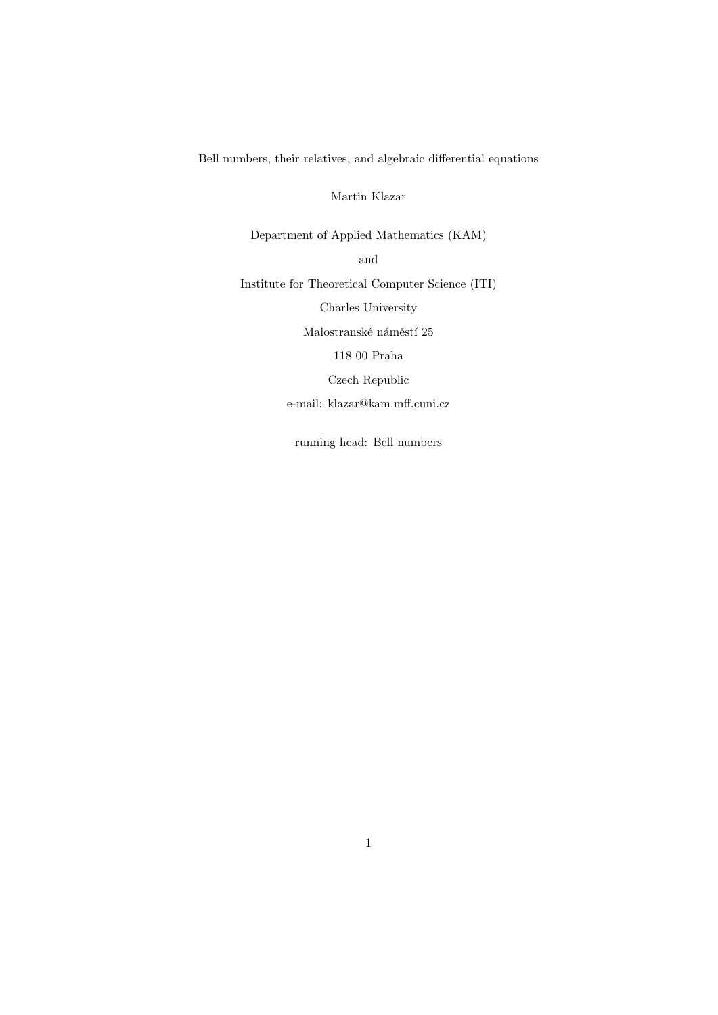Bell numbers, their relatives, and algebraic differential equations

Martin Klazar

Department of Applied Mathematics (KAM) and

Institute for Theoretical Computer Science (ITI)

Charles University

Malostranské náměstí $25$ 

118 00 Praha

Czech Republic

e-mail: klazar@kam.mff.cuni.cz

running head: Bell numbers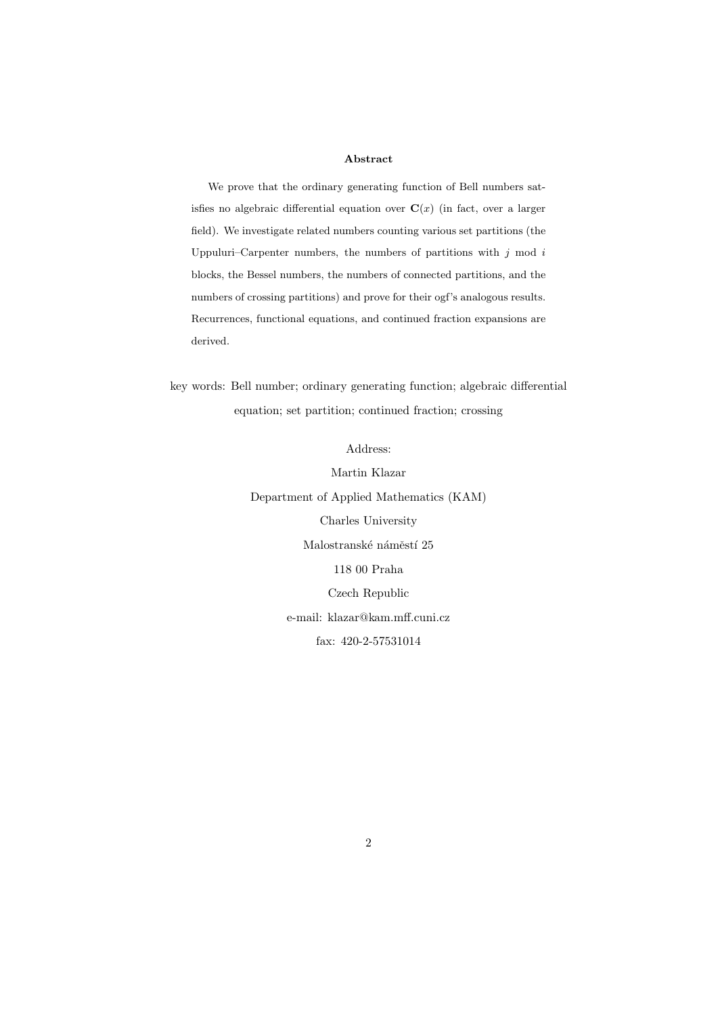### Abstract

We prove that the ordinary generating function of Bell numbers satisfies no algebraic differential equation over  $\mathbf{C}(x)$  (in fact, over a larger field). We investigate related numbers counting various set partitions (the Uppuluri–Carpenter numbers, the numbers of partitions with  $j$  mod  $i$ blocks, the Bessel numbers, the numbers of connected partitions, and the numbers of crossing partitions) and prove for their ogf's analogous results. Recurrences, functional equations, and continued fraction expansions are derived.

key words: Bell number; ordinary generating function; algebraic differential equation; set partition; continued fraction; crossing

Address:

Martin Klazar Department of Applied Mathematics (KAM) Charles University Malostranské náměstí $25$ 118 00 Praha Czech Republic e-mail: klazar@kam.mff.cuni.cz fax: 420-2-57531014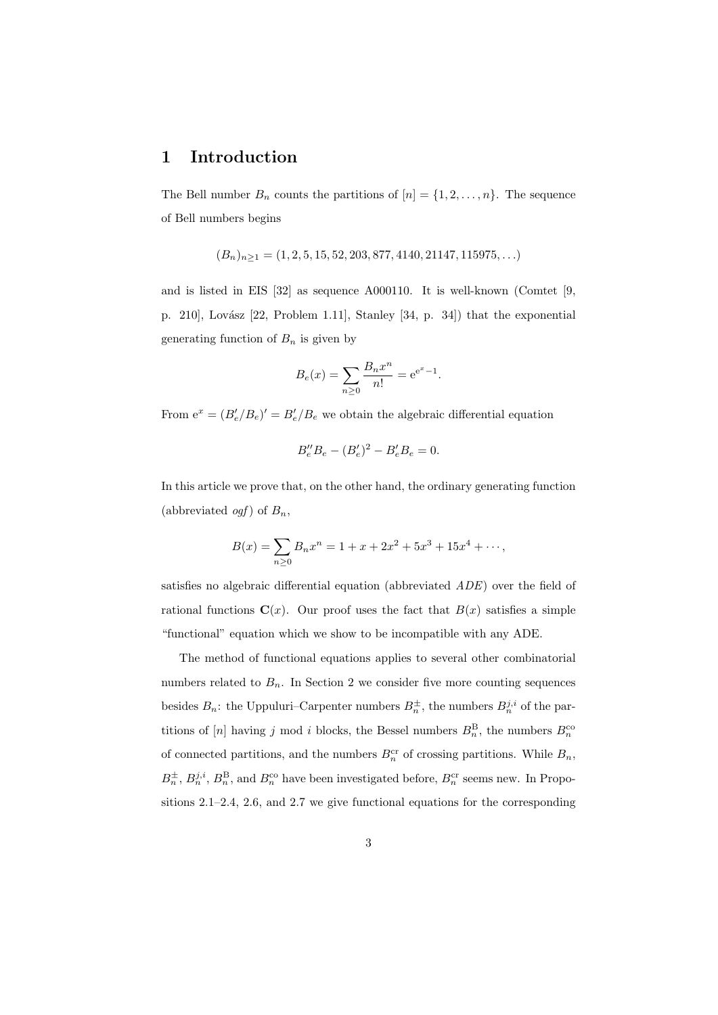## 1 Introduction

The Bell number  $B_n$  counts the partitions of  $[n] = \{1, 2, \ldots, n\}$ . The sequence of Bell numbers begins

$$
(B_n)_{n\geq 1} = (1, 2, 5, 15, 52, 203, 877, 4140, 21147, 115975, \ldots)
$$

and is listed in EIS [32] as sequence A000110. It is well-known (Comtet [9, p. 210], Lovász [22, Problem 1.11], Stanley [34, p. 34]) that the exponential generating function of  $B_n$  is given by

$$
B_e(x) = \sum_{n\geq 0} \frac{B_n x^n}{n!} = e^{e^x - 1}.
$$

From  $e^x = (B'_e/B_e)' = B'_e/B_e$  we obtain the algebraic differential equation

$$
B''_e B_e - (B'_e)^2 - B'_e B_e = 0.
$$

In this article we prove that, on the other hand, the ordinary generating function (abbreviated *ogf*) of  $B_n$ ,

$$
B(x) = \sum_{n\geq 0} B_n x^n = 1 + x + 2x^2 + 5x^3 + 15x^4 + \cdots,
$$

satisfies no algebraic differential equation (abbreviated ADE) over the field of rational functions  $\mathbf{C}(x)$ . Our proof uses the fact that  $B(x)$  satisfies a simple "functional" equation which we show to be incompatible with any ADE.

The method of functional equations applies to several other combinatorial numbers related to  $B_n$ . In Section 2 we consider five more counting sequences besides  $B_n$ : the Uppuluri–Carpenter numbers  $B_n^{\pm}$ , the numbers  $B_n^{j,i}$  of the partitions of [n] having j mod i blocks, the Bessel numbers  $B_n^{\text{B}}$ , the numbers  $B_n^{\text{cc}}$ of connected partitions, and the numbers  $B_n^{\text{cr}}$  of crossing partitions. While  $B_n$ ,  $B_n^{\pm}, B_n^{j,i}, B_n^{\text{B}}$ , and  $B_n^{\text{co}}$  have been investigated before,  $B_n^{\text{cr}}$  seems new. In Propositions 2.1–2.4, 2.6, and 2.7 we give functional equations for the corresponding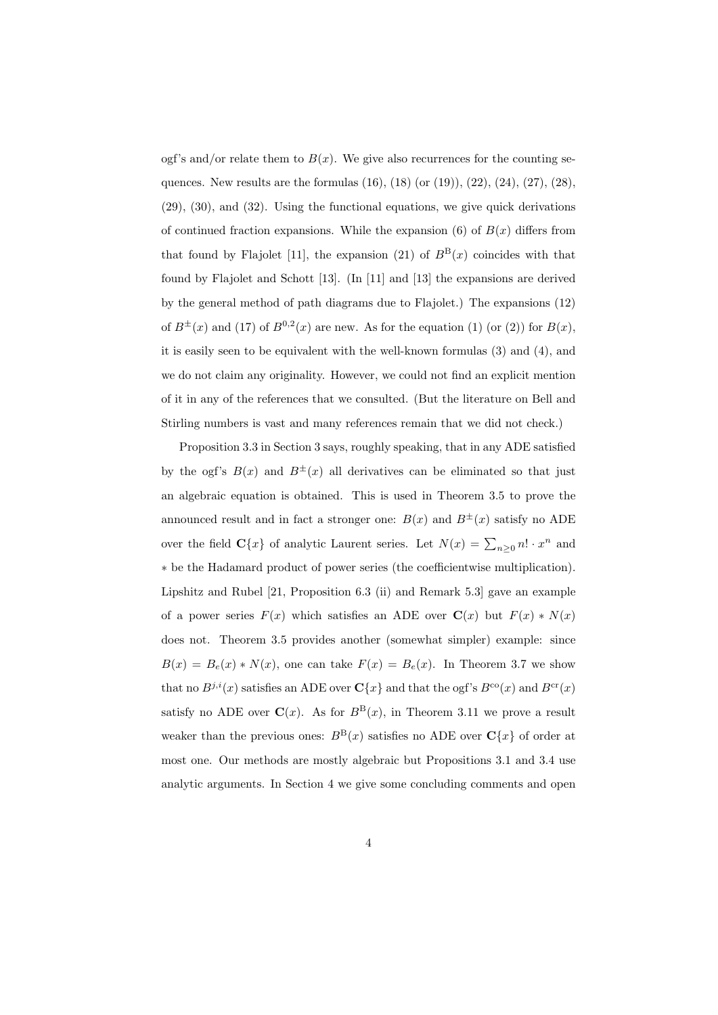ogf's and/or relate them to  $B(x)$ . We give also recurrences for the counting sequences. New results are the formulas  $(16)$ ,  $(18)$  (or  $(19)$ ),  $(22)$ ,  $(24)$ ,  $(27)$ ,  $(28)$ , (29), (30), and (32). Using the functional equations, we give quick derivations of continued fraction expansions. While the expansion (6) of  $B(x)$  differs from that found by Flajolet [11], the expansion (21) of  $B^{B}(x)$  coincides with that found by Flajolet and Schott [13]. (In [11] and [13] the expansions are derived by the general method of path diagrams due to Flajolet.) The expansions (12) of  $B^{\pm}(x)$  and (17) of  $B^{0,2}(x)$  are new. As for the equation (1) (or (2)) for  $B(x)$ , it is easily seen to be equivalent with the well-known formulas (3) and (4), and we do not claim any originality. However, we could not find an explicit mention of it in any of the references that we consulted. (But the literature on Bell and Stirling numbers is vast and many references remain that we did not check.)

Proposition 3.3 in Section 3 says, roughly speaking, that in any ADE satisfied by the ogf's  $B(x)$  and  $B^{\pm}(x)$  all derivatives can be eliminated so that just an algebraic equation is obtained. This is used in Theorem 3.5 to prove the announced result and in fact a stronger one:  $B(x)$  and  $B^{\pm}(x)$  satisfy no ADE over the field  $\mathbf{C}\{x\}$  of analytic Laurent series. Let  $N(x) = \sum_{n\geq 0} n! \cdot x^n$  and ∗ be the Hadamard product of power series (the coefficientwise multiplication). Lipshitz and Rubel [21, Proposition 6.3 (ii) and Remark 5.3] gave an example of a power series  $F(x)$  which satisfies an ADE over  $\mathbf{C}(x)$  but  $F(x) * N(x)$ does not. Theorem 3.5 provides another (somewhat simpler) example: since  $B(x) = B_e(x) * N(x)$ , one can take  $F(x) = B_e(x)$ . In Theorem 3.7 we show that no  $B^{j,i}(x)$  satisfies an ADE over  $\mathbf{C}\{x\}$  and that the ogf's  $B^{co}(x)$  and  $B^{cr}(x)$ satisfy no ADE over  $\mathbf{C}(x)$ . As for  $B^{B}(x)$ , in Theorem 3.11 we prove a result weaker than the previous ones:  $B^{B}(x)$  satisfies no ADE over  $C{x}$  of order at most one. Our methods are mostly algebraic but Propositions 3.1 and 3.4 use analytic arguments. In Section 4 we give some concluding comments and open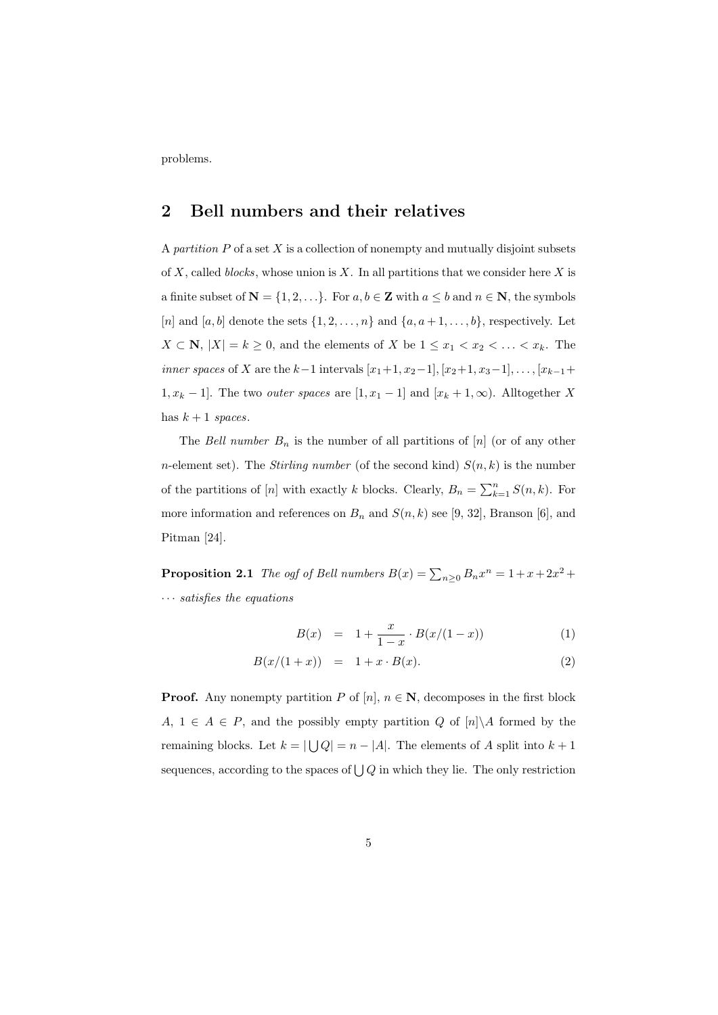problems.

## 2 Bell numbers and their relatives

A partition  $P$  of a set  $X$  is a collection of nonempty and mutually disjoint subsets of X, called blocks, whose union is X. In all partitions that we consider here X is a finite subset of  $N = \{1, 2, ...\}$ . For  $a, b \in \mathbb{Z}$  with  $a \leq b$  and  $n \in \mathbb{N}$ , the symbols [n] and [a, b] denote the sets  $\{1, 2, \ldots, n\}$  and  $\{a, a+1, \ldots, b\}$ , respectively. Let  $X \subset \mathbb{N}, |X| = k \geq 0$ , and the elements of X be  $1 \leq x_1 < x_2 < \ldots < x_k$ . The *inner spaces* of X are the  $k-1$  intervals  $[x_1+1, x_2-1], [x_2+1, x_3-1], \ldots, [x_{k-1}+1]$  $1, x_k - 1$ . The two *outer spaces* are  $[1, x_1 - 1]$  and  $[x_k + 1, \infty)$ . Alltogether X has  $k + 1$  spaces.

The Bell number  $B_n$  is the number of all partitions of  $[n]$  (or of any other *n*-element set). The *Stirling number* (of the second kind)  $S(n, k)$  is the number of the partitions of [n] with exactly k blocks. Clearly,  $B_n = \sum_{k=1}^n S(n, k)$ . For more information and references on  $B_n$  and  $S(n, k)$  see [9, 32], Branson [6], and Pitman [24].

**Proposition 2.1** The ogf of Bell numbers  $B(x) = \sum_{n\geq 0} B_n x^n = 1 + x + 2x^2 +$  $\cdots$  satisfies the equations

$$
B(x) = 1 + \frac{x}{1-x} \cdot B(x/(1-x)) \tag{1}
$$

$$
B(x/(1+x)) = 1 + x \cdot B(x). \tag{2}
$$

**Proof.** Any nonempty partition P of [n],  $n \in \mathbb{N}$ , decomposes in the first block A,  $1 \in A \in P$ , and the possibly empty partition Q of  $[n] \backslash A$  formed by the remaining blocks. Let  $k = |\bigcup Q| = n - |A|$ . The elements of A split into  $k + 1$ sequences, according to the spaces of  $\bigcup Q$  in which they lie. The only restriction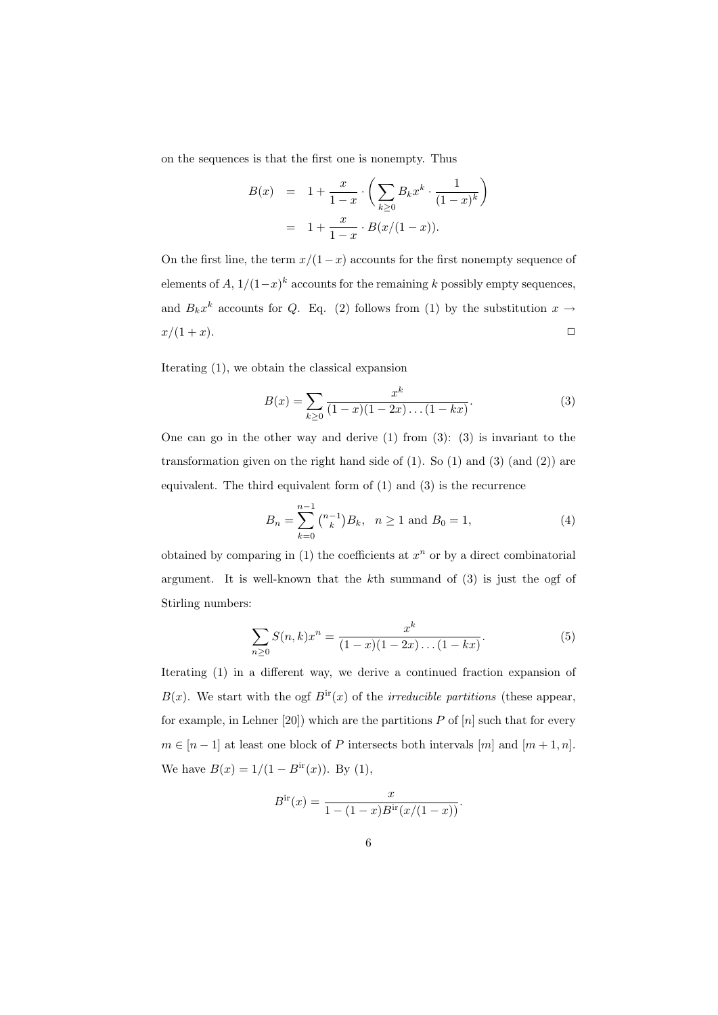on the sequences is that the first one is nonempty. Thus

$$
B(x) = 1 + \frac{x}{1-x} \cdot \left( \sum_{k \ge 0} B_k x^k \cdot \frac{1}{(1-x)^k} \right)
$$
  
= 1 +  $\frac{x}{1-x} \cdot B(x/(1-x)).$ 

On the first line, the term  $x/(1-x)$  accounts for the first nonempty sequence of elements of  $A$ ,  $1/(1-x)^k$  accounts for the remaining k possibly empty sequences, and  $B_k x^k$  accounts for Q. Eq. (2) follows from (1) by the substitution  $x \to$  $x/(1+x)$ .

Iterating (1), we obtain the classical expansion

$$
B(x) = \sum_{k \ge 0} \frac{x^k}{(1-x)(1-2x)\dots(1-kx)}.
$$
 (3)

One can go in the other way and derive  $(1)$  from  $(3)$ :  $(3)$  is invariant to the transformation given on the right hand side of  $(1)$ . So  $(1)$  and  $(3)$   $(and (2))$  are equivalent. The third equivalent form of (1) and (3) is the recurrence

$$
B_n = \sum_{k=0}^{n-1} \binom{n-1}{k} B_k, \quad n \ge 1 \text{ and } B_0 = 1,
$$
 (4)

obtained by comparing in  $(1)$  the coefficients at  $x^n$  or by a direct combinatorial argument. It is well-known that the kth summand of (3) is just the ogf of Stirling numbers:

$$
\sum_{n\geq 0} S(n,k)x^n = \frac{x^k}{(1-x)(1-2x)\dots(1-kx)}.\tag{5}
$$

Iterating (1) in a different way, we derive a continued fraction expansion of  $B(x)$ . We start with the ogf  $B<sup>ir</sup>(x)$  of the *irreducible partitions* (these appear, for example, in Lehner [20]) which are the partitions  $P$  of  $[n]$  such that for every  $m \in [n-1]$  at least one block of P intersects both intervals  $[m]$  and  $[m+1, n]$ . We have  $B(x) = 1/(1 - B<sup>ir</sup>(x))$ . By (1),

$$
Bir(x) = \frac{x}{1 - (1 - x)Bir(x/(1 - x))}.
$$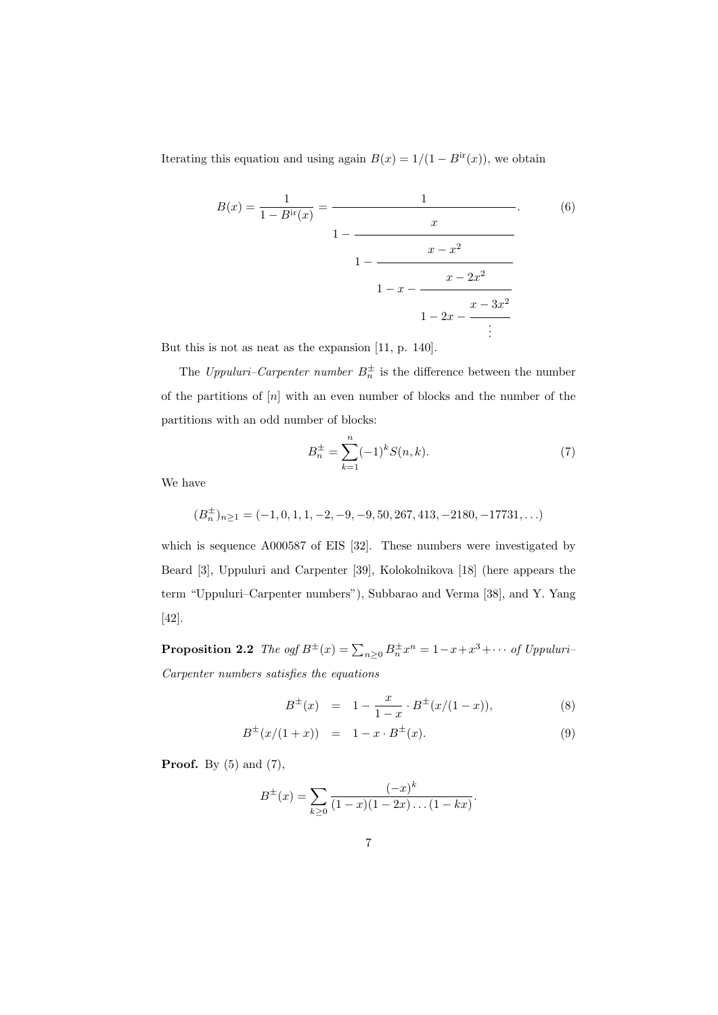Iterating this equation and using again  $B(x) = 1/(1 - B<sup>ir</sup>(x))$ , we obtain

$$
B(x) = \frac{1}{1 - B^{ir}(x)} = \frac{1}{1 - \frac{x}{1 - \frac{x - x^2}{1 - \frac{x - 2x^2}{1 - 2x - \frac{x - 3x^2}{\vdots}}}}}
$$
(6)

But this is not as neat as the expansion [11, p. 140].

The Uppuluri–Carpenter number  $B_n^{\pm}$  is the difference between the number of the partitions of  $[n]$  with an even number of blocks and the number of the partitions with an odd number of blocks:

$$
B_n^{\pm} = \sum_{k=1}^n (-1)^k S(n, k). \tag{7}
$$

We have

 $(B_n^{\pm})_{n\geq 1} = (-1, 0, 1, 1, -2, -9, -9, 50, 267, 413, -2180, -17731, \ldots)$ 

which is sequence A000587 of EIS [32]. These numbers were investigated by Beard [3], Uppuluri and Carpenter [39], Kolokolnikova [18] (here appears the term "Uppuluri–Carpenter numbers"), Subbarao and Verma [38], and Y. Yang [42].

**Proposition 2.2** The ogf  $B^{\pm}(x) = \sum_{n\geq 0} B^{\pm}_n x^n = 1 - x + x^3 + \cdots$  of Uppuluri-Carpenter numbers satisfies the equations

$$
B^{\pm}(x) = 1 - \frac{x}{1-x} \cdot B^{\pm}(x/(1-x)), \tag{8}
$$

$$
B^{\pm}(x/(1+x)) = 1 - x \cdot B^{\pm}(x). \tag{9}
$$

**Proof.** By  $(5)$  and  $(7)$ ,

$$
B^{\pm}(x) = \sum_{k \geq 0} \frac{(-x)^k}{(1-x)(1-2x)\dots(1-kx)}.
$$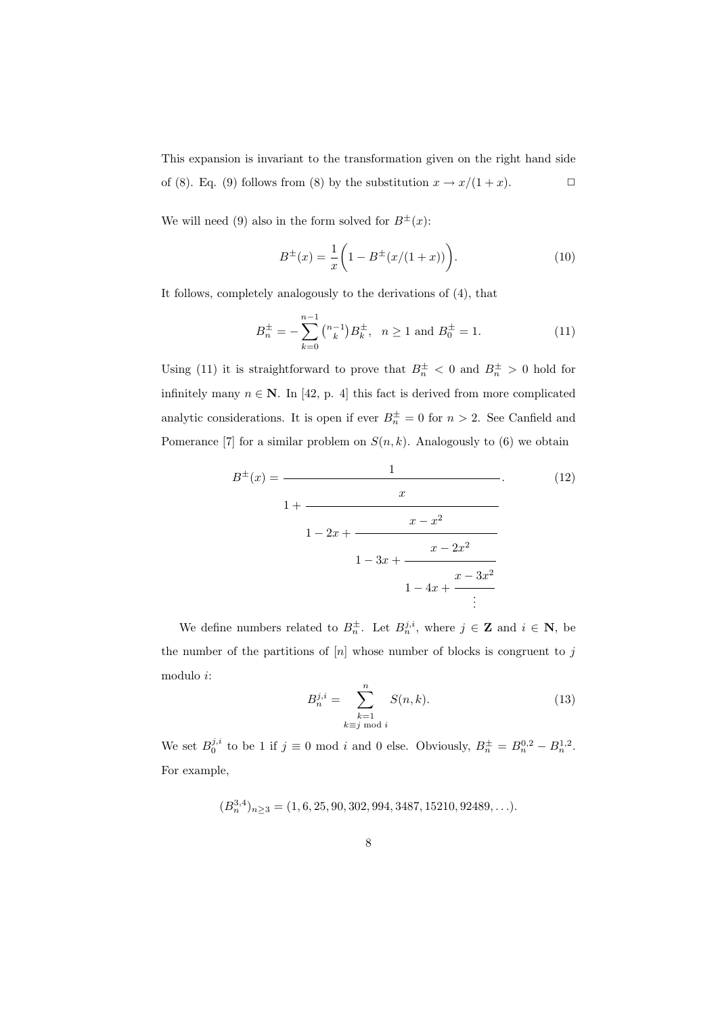This expansion is invariant to the transformation given on the right hand side of (8). Eq. (9) follows from (8) by the substitution  $x \to x/(1+x)$ .

We will need (9) also in the form solved for  $B^{\pm}(x)$ :

$$
B^{\pm}(x) = \frac{1}{x} \left( 1 - B^{\pm}(x/(1+x)) \right). \tag{10}
$$

It follows, completely analogously to the derivations of (4), that

$$
B_n^{\pm} = -\sum_{k=0}^{n-1} \binom{n-1}{k} B_k^{\pm}, \quad n \ge 1 \text{ and } B_0^{\pm} = 1.
$$
 (11)

Using (11) it is straightforward to prove that  $B_n^{\pm} < 0$  and  $B_n^{\pm} > 0$  hold for infinitely many  $n \in \mathbb{N}$ . In [42, p. 4] this fact is derived from more complicated analytic considerations. It is open if ever  $B_n^{\pm} = 0$  for  $n > 2$ . See Canfield and Pomerance [7] for a similar problem on  $S(n, k)$ . Analogously to (6) we obtain

$$
B^{\pm}(x) = \cfrac{1}{1 + \cfrac{x}{1 - 2x + \cfrac{x - x^2}{1 - 3x + \cfrac{x - 2x^2}{1 - 4x + \cfrac{x - 3x^2}{\ddots}}}}}
$$
\n(12)

We define numbers related to  $B_n^{\pm}$ . Let  $B_n^{j,i}$ , where  $j \in \mathbf{Z}$  and  $i \in \mathbf{N}$ , be the number of the partitions of  $[n]$  whose number of blocks is congruent to j modulo i:

$$
B_n^{j,i} = \sum_{\substack{k=1 \ k \equiv j \bmod i}}^n S(n,k). \tag{13}
$$

We set  $B_0^{j,i}$  to be 1 if  $j \equiv 0 \mod i$  and 0 else. Obviously,  $B_n^{\pm} = B_n^{0,2} - B_n^{1,2}$ . For example,

$$
(B_n^{3,4})_{n\geq 3} = (1,6,25,90,302,994,3487,15210,92489,\ldots).
$$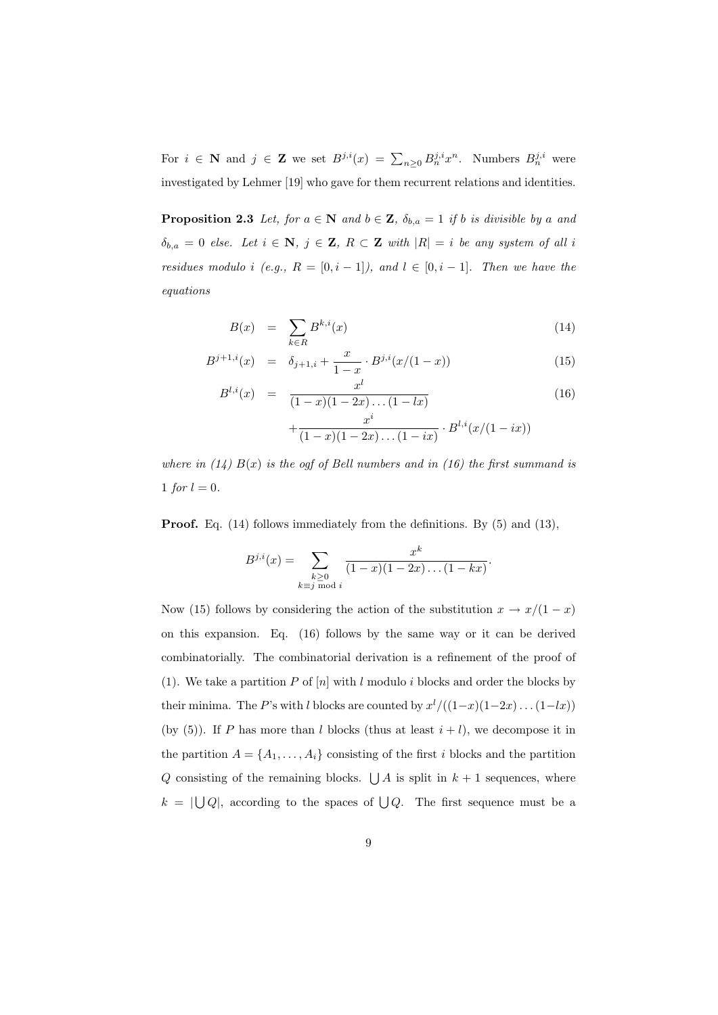For  $i \in \mathbb{N}$  and  $j \in \mathbb{Z}$  we set  $B^{j,i}(x) = \sum_{n\geq 0} B_n^{j,i} x^n$ . Numbers  $B_n^{j,i}$  were investigated by Lehmer [19] who gave for them recurrent relations and identities.

**Proposition 2.3** Let, for  $a \in \mathbb{N}$  and  $b \in \mathbb{Z}$ ,  $\delta_{b,a} = 1$  if b is divisible by a and  $\delta_{b,a} = 0$  else. Let  $i \in \mathbb{N}$ ,  $j \in \mathbb{Z}$ ,  $R \subset \mathbb{Z}$  with  $|R| = i$  be any system of all i residues modulo i (e.g.,  $R = [0, i - 1]$ ), and  $l \in [0, i - 1]$ . Then we have the equations

$$
B(x) = \sum_{k \in R} B^{k,i}(x) \tag{14}
$$

$$
B^{j+1,i}(x) = \delta_{j+1,i} + \frac{x}{1-x} \cdot B^{j,i}(x/(1-x)) \tag{15}
$$

$$
B^{l,i}(x) = \frac{x^l}{(1-x)(1-2x)\dots(1-lx)} + \frac{x^i}{(1-x)(1-2x)\dots(1-ix)} \cdot B^{l,i}(x/(1-ix))
$$
\n(16)

where in  $(14)$   $B(x)$  is the ogf of Bell numbers and in  $(16)$  the first summand is 1 for  $l = 0$ .

Proof. Eq. (14) follows immediately from the definitions. By (5) and (13),

$$
B^{j,i}(x) = \sum_{\substack{k \geq 0 \\ k \equiv j \bmod i}} \frac{x^k}{(1-x)(1-2x)\dots(1-kx)}.
$$

Now (15) follows by considering the action of the substitution  $x \to x/(1-x)$ on this expansion. Eq. (16) follows by the same way or it can be derived combinatorially. The combinatorial derivation is a refinement of the proof of (1). We take a partition P of  $[n]$  with l modulo i blocks and order the blocks by their minima. The P's with l blocks are counted by  $x^{l}/((1-x)(1-2x)...(1-lx))$ (by (5)). If P has more than l blocks (thus at least  $i + l$ ), we decompose it in the partition  $A = \{A_1, \ldots, A_i\}$  consisting of the first i blocks and the partition Q consisting of the remaining blocks.  $\bigcup A$  is split in  $k + 1$  sequences, where  $k = \lfloor \bigcup Q \rfloor$ , according to the spaces of  $\bigcup Q$ . The first sequence must be a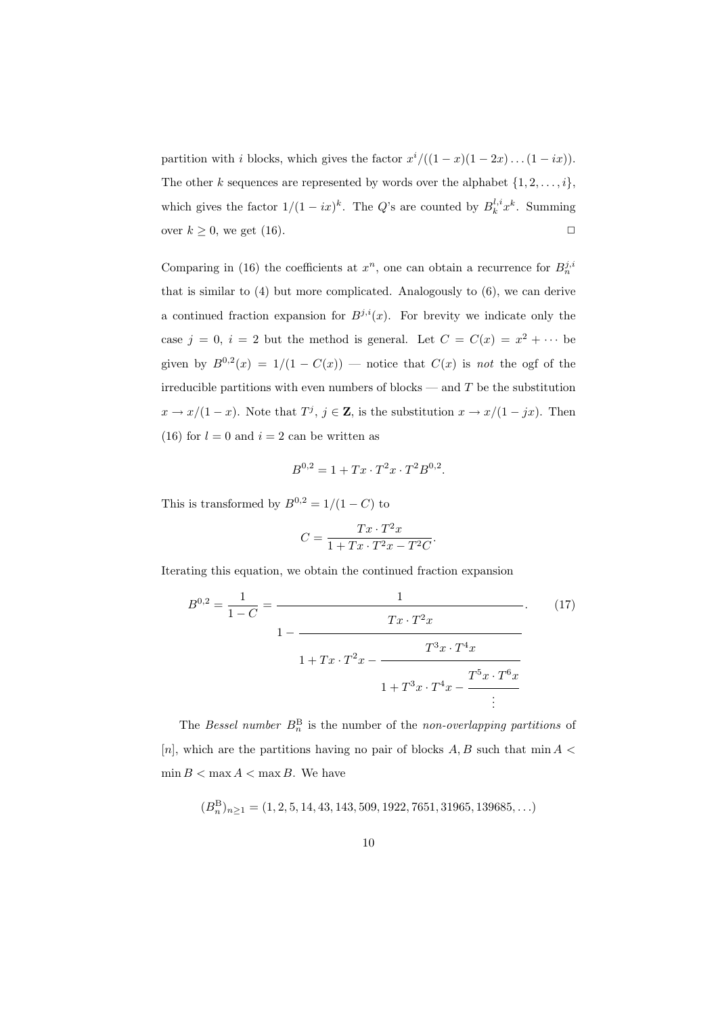partition with i blocks, which gives the factor  $x^{i}/((1-x)(1-2x)...(1-ix)).$ The other k sequences are represented by words over the alphabet  $\{1, 2, \ldots, i\}$ , which gives the factor  $1/(1 - ix)^k$ . The Q's are counted by  $B_k^{l,i}x^k$ . Summing over  $k \geq 0$ , we get (16).

Comparing in (16) the coefficients at  $x^n$ , one can obtain a recurrence for  $B_n^{j,i}$ that is similar to (4) but more complicated. Analogously to (6), we can derive a continued fraction expansion for  $B^{j,i}(x)$ . For brevity we indicate only the case  $j = 0$ ,  $i = 2$  but the method is general. Let  $C = C(x) = x^2 + \cdots$  be given by  $B^{0,2}(x) = 1/(1 - C(x))$  — notice that  $C(x)$  is not the ogf of the irreducible partitions with even numbers of blocks — and  $T$  be the substitution  $x \to x/(1-x)$ . Note that  $T^j$ ,  $j \in \mathbb{Z}$ , is the substitution  $x \to x/(1-jx)$ . Then (16) for  $l = 0$  and  $i = 2$  can be written as

$$
B^{0,2} = 1 + Tx \cdot T^2 x \cdot T^2 B^{0,2}.
$$

This is transformed by  $B^{0,2} = 1/(1 - C)$  to

$$
C=\frac{Tx\cdot T^2x}{1+Tx\cdot T^2x-T^2C}.
$$

Iterating this equation, we obtain the continued fraction expansion

$$
B^{0,2} = \frac{1}{1-C} = \frac{1}{1-\frac{Tx \cdot T^2 x}{1+\frac{Tx \cdot T^2 x - \frac{T^3 x \cdot T^4 x}{1+\frac{T^3 x \cdot T^4 x - \frac{T^5 x \cdot T^6 x}{1+\frac{T^3 x \cdot T^4 x - \frac{T^5 x \cdot T^6 x}{1+\frac{T^5 x \cdot T^6 x}}}}}}}
$$
(17)

The Bessel number  $B_n^B$  is the number of the non-overlapping partitions of [n], which are the partitions having no pair of blocks  $A, B$  such that min  $A \leq$  $\min B < \max A < \max B$ . We have

 $(B_n^B)_{n\geq 1} = (1, 2, 5, 14, 43, 143, 509, 1922, 7651, 31965, 139685, \ldots)$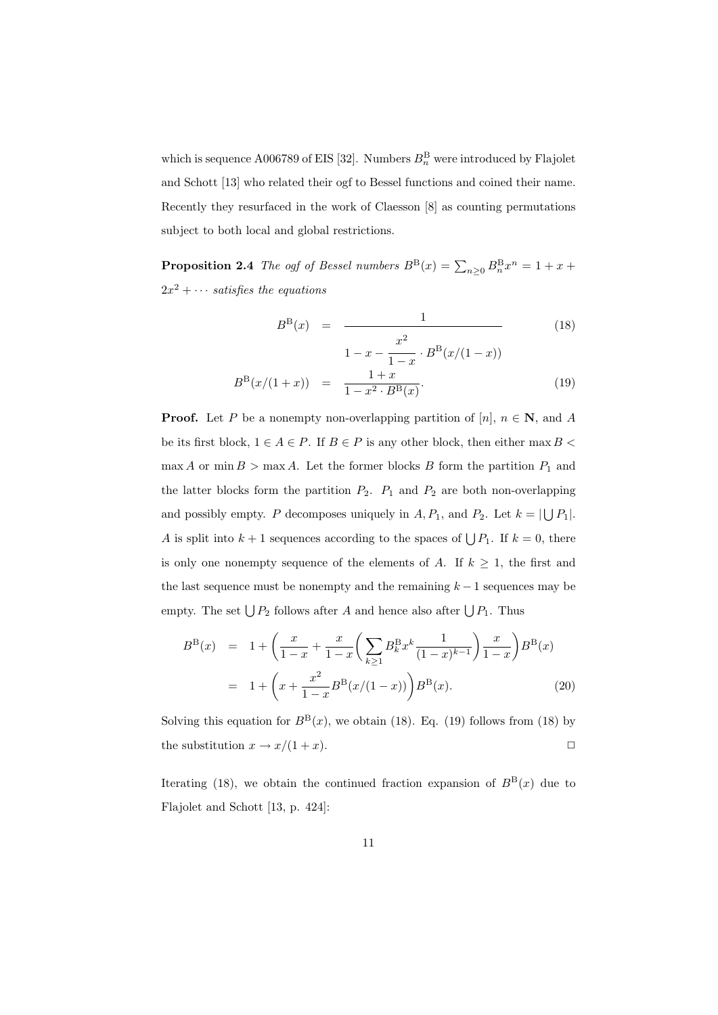which is sequence A006789 of EIS [32]. Numbers  $B_n^{\text{B}}$  were introduced by Flajolet and Schott [13] who related their ogf to Bessel functions and coined their name. Recently they resurfaced in the work of Claesson [8] as counting permutations subject to both local and global restrictions.

**Proposition 2.4** The ogf of Bessel numbers  $B^{B}(x) = \sum_{n\geq 0} B^{B}_{n}x^{n} = 1 + x +$  $2x^2 + \cdots$  satisfies the equations

$$
B^{B}(x) = \frac{1}{1 - x - \frac{x^{2}}{1 - x} \cdot B^{B}(x/(1 - x))}
$$
(18)

$$
B^{\rm B}(x/(1+x)) = \frac{1+x}{1-x^2 \cdot B^{\rm B}(x)}.
$$
 (19)

**Proof.** Let P be a nonempty non-overlapping partition of [n],  $n \in \mathbb{N}$ , and A be its first block,  $1 \in A \in P$ . If  $B \in P$  is any other block, then either max  $B \leq$  $\max A$  or  $\min B > \max A$ . Let the former blocks B form the partition  $P_1$  and the latter blocks form the partition  $P_2$ .  $P_1$  and  $P_2$  are both non-overlapping and possibly empty. P decomposes uniquely in A,  $P_1$ , and  $P_2$ . Let  $k = |\bigcup P_1|$ . A is split into  $k+1$  sequences according to the spaces of  $\bigcup P_1$ . If  $k=0$ , there is only one nonempty sequence of the elements of A. If  $k \geq 1$ , the first and the last sequence must be nonempty and the remaining  $k - 1$  sequences may be empty. The set  $\bigcup P_2$  follows after A and hence also after  $\bigcup P_1$ . Thus

$$
B^{B}(x) = 1 + \left(\frac{x}{1-x} + \frac{x}{1-x} \left(\sum_{k\geq 1} B_{k}^{B} x^{k} \frac{1}{(1-x)^{k-1}}\right) \frac{x}{1-x}\right) B^{B}(x)
$$
  
= 1 + \left(x + \frac{x^{2}}{1-x} B^{B}(x/(1-x))\right) B^{B}(x). (20)

Solving this equation for  $B^{B}(x)$ , we obtain (18). Eq. (19) follows from (18) by the substitution  $x \to x/(1+x)$ .

Iterating (18), we obtain the continued fraction expansion of  $B<sup>B</sup>(x)$  due to Flajolet and Schott [13, p. 424]: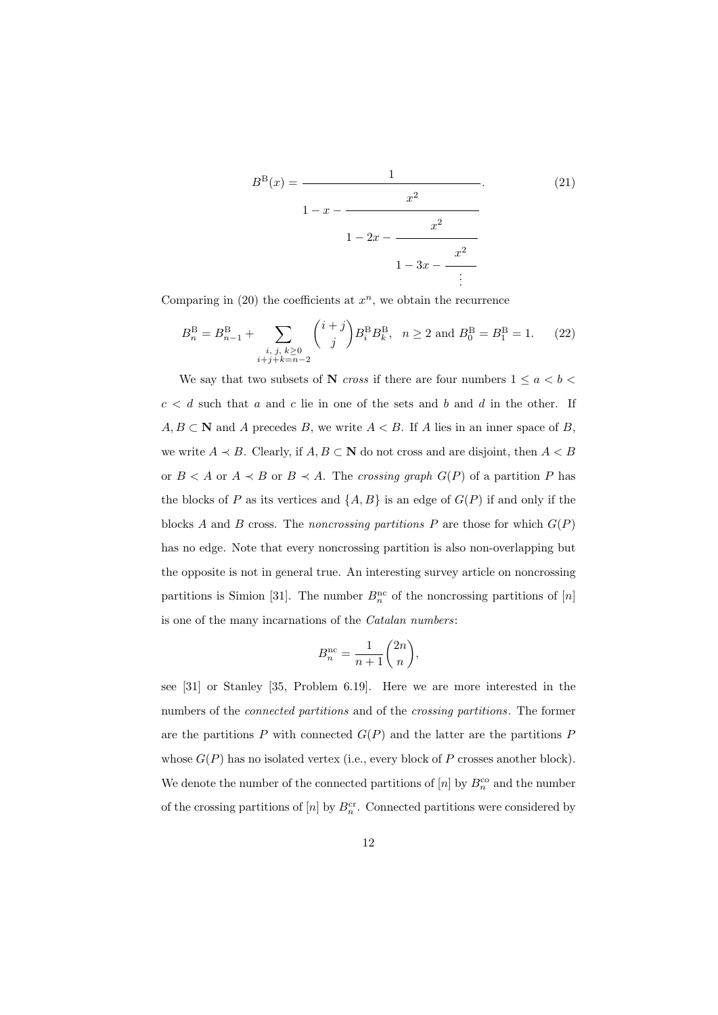$$
B^{B}(x) = \cfrac{1}{1 - x - \cfrac{x^{2}}{1 - 2x - \cfrac{x^{2}}{1 - 3x - \cfrac{x^{2}}{1 - \cfrac{x^{2}}{1 - \cfrac{x^{2}}{1 - \cfrac{x^{2}}{1 - \cfrac{x^{2}}{1 - \cfrac{x^{2}}{1 - \cfrac{x^{2}}{1 - \cfrac{x^{2}}{1 - \cfrac{x^{2}}{1 - \cfrac{x^{2}}{1 - \cfrac{x^{2}}{1 - \cfrac{x^{2}}{1 - \cfrac{x^{2}}{1 - \cfrac{x^{2}}{1 - \cfrac{x^{2}}{1 - \cfrac{x^{2}}{1 - \cfrac{x^{2}}{1 - \cfrac{x^{2}}{1 - \cfrac{x^{2}}{1 - \cfrac{x^{2}}{1 - \cfrac{x^{2}}{1 - \cfrac{x^{2}}{1 - \cfrac{x^{2}}{1 - \cfrac{x^{2}}{1 - \cfrac{x^{2}}{1 - \cfrac{x^{2}}{1 - \cfrac{x^{2}}{1 - \cfrac{x^{2}}{1 - \cfrac{x^{2}}{1 - \cfrac{x^{2}}{1 - \cfrac{x^{2}}{1 - \cfrac{x^{2}}{1 - \cfrac{x^{2}}{1 - \cfrac{x^{2}}{1 - \cfrac{x^{2}}{1 - \cfrac{x^{2}}{1 - \cfrac{x^{2}}{1 - \cfrac{x^{2}}{1 - \cfrac{x^{2}}{1 - \cfrac{x^{2}}{1 - \cfrac{x^{2}}{1 - \cfrac{x^{2}}{1 - \cfrac{x^{2}}{1 - \cfrac{x^{2}}{1 - \cfrac{x^{2}}{1 - \cfrac{x^{2}}{1 - \cfrac{x^{2}}{1 - \cfrac{x^{2}}{1 - \cfrac{x^{2}}{1 - \cfrac{x^{2}}{1 - \cfrac{x^{2}}{1 - \cfrac{x^{2}}{1 - \cfrac{x^{2}}{1 - \cfrac{x^{2}}{1 - \cfrac{x^{2}}{1 - \cfrac{x^{2}}{1 - \cfrac{x^{2}}{1 - \cfrac{x^{2}}{1 - \cfrac{x^{2}}{1 - \cfrac{x^{2}}{1 - \cfrac{x^{2}}{1 - \cfrac{x^{2}}{1 - \cfrac{x^{2}}{1 - \cfrac{x^{2}}{1 - \cfrac{x^{2}}{1 - \cfrac{x^{2}}{1 - \cfrac{x^{2}}{1 - \cfrac{x^{2}}{1 - \cfrac{x^{2}}{1 - \cfrac{x^{2}}{1 - \cfrac{x^{2}}{1 - \cfrac{x
$$

Comparing in  $(20)$  the coefficients at  $x^n$ , we obtain the recurrence

$$
B_n^{\text{B}} = B_{n-1}^{\text{B}} + \sum_{\substack{i, j, k \ge 0 \\ i+j+k=n-2}} {i+j \choose j} B_i^{\text{B}} B_k^{\text{B}}, \quad n \ge 2 \text{ and } B_0^{\text{B}} = B_1^{\text{B}} = 1. \tag{22}
$$

We say that two subsets of  ${\bf N}$   $cross$  if there are four numbers  $1 \le a < b <$  $c < d$  such that a and c lie in one of the sets and b and d in the other. If  $A, B \subset \mathbb{N}$  and A precedes B, we write  $A < B$ . If A lies in an inner space of B, we write  $A \prec B$ . Clearly, if  $A, B \subset \mathbb{N}$  do not cross and are disjoint, then  $A \prec B$ or  $B < A$  or  $A \prec B$  or  $B \prec A$ . The crossing graph  $G(P)$  of a partition P has the blocks of P as its vertices and  $\{A, B\}$  is an edge of  $G(P)$  if and only if the blocks A and B cross. The noncrossing partitions P are those for which  $G(P)$ has no edge. Note that every noncrossing partition is also non-overlapping but the opposite is not in general true. An interesting survey article on noncrossing partitions is Simion [31]. The number  $B_n^{\text{nc}}$  of the noncrossing partitions of [n] is one of the many incarnations of the Catalan numbers:

$$
B_n^{\rm nc} = \frac{1}{n+1} \binom{2n}{n},
$$

see [31] or Stanley [35, Problem 6.19]. Here we are more interested in the numbers of the connected partitions and of the crossing partitions. The former are the partitions  $P$  with connected  $G(P)$  and the latter are the partitions  $P$ whose  $G(P)$  has no isolated vertex (i.e., every block of P crosses another block). We denote the number of the connected partitions of  $[n]$  by  $B_n^{\rm co}$  and the number of the crossing partitions of  $[n]$  by  $B_n^{\text{cr}}$ . Connected partitions were considered by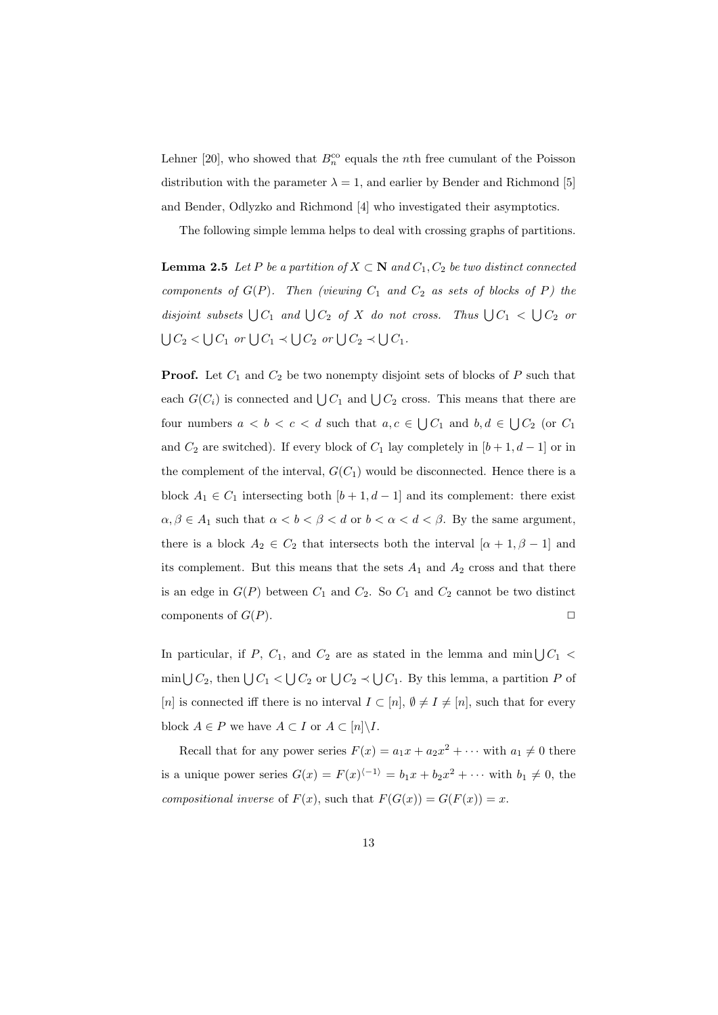Lehner [20], who showed that  $B_n^{\rm co}$  equals the *nth* free cumulant of the Poisson distribution with the parameter  $\lambda = 1$ , and earlier by Bender and Richmond [5] and Bender, Odlyzko and Richmond [4] who investigated their asymptotics.

The following simple lemma helps to deal with crossing graphs of partitions.

**Lemma 2.5** Let P be a partition of  $X \subset \mathbb{N}$  and  $C_1, C_2$  be two distinct connected components of  $G(P)$ . Then (viewing  $C_1$  and  $C_2$  as sets of blocks of P) the disjoint subsets  $\bigcup C_1$  and  $\bigcup C_2$  of X do not cross. Thus  $\bigcup C_1 < \bigcup C_2$  or  $\bigcup C_2$  <  $\bigcup C_1$  or  $\bigcup C_1$   $\prec \bigcup C_2$  or  $\bigcup C_2$   $\prec \bigcup C_1$ .

**Proof.** Let  $C_1$  and  $C_2$  be two nonempty disjoint sets of blocks of P such that each  $G(C_i)$  is connected and  $\bigcup C_1$  and  $\bigcup C_2$  cross. This means that there are four numbers  $a < b < c < d$  such that  $a, c \in \bigcup C_1$  and  $b, d \in \bigcup C_2$  (or  $C_1$ ) and  $C_2$  are switched). If every block of  $C_1$  lay completely in  $[b+1, d-1]$  or in the complement of the interval,  $G(C_1)$  would be disconnected. Hence there is a block  $A_1 \in C_1$  intersecting both  $[b+1, d-1]$  and its complement: there exist  $\alpha, \beta \in A_1$  such that  $\alpha < b < \beta < d$  or  $b < \alpha < d < \beta$ . By the same argument, there is a block  $A_2 \in C_2$  that intersects both the interval  $[\alpha + 1, \beta - 1]$  and its complement. But this means that the sets  $A_1$  and  $A_2$  cross and that there is an edge in  $G(P)$  between  $C_1$  and  $C_2$ . So  $C_1$  and  $C_2$  cannot be two distinct components of  $G(P)$ .

In particular, if P,  $C_1$ , and  $C_2$  are as stated in the lemma and min $\bigcup C_1$  <  $\min \bigcup C_2$ , then  $\bigcup C_1 < \bigcup C_2$  or  $\bigcup C_2 \prec \bigcup C_1$ . By this lemma, a partition P of [n] is connected iff there is no interval  $I \subset [n], \emptyset \neq I \neq [n]$ , such that for every block  $A \in P$  we have  $A \subset I$  or  $A \subset [n] \backslash I$ .

Recall that for any power series  $F(x) = a_1x + a_2x^2 + \cdots$  with  $a_1 \neq 0$  there is a unique power series  $G(x) = F(x)^{\langle -1 \rangle} = b_1 x + b_2 x^2 + \cdots$  with  $b_1 \neq 0$ , the compositional inverse of  $F(x)$ , such that  $F(G(x)) = G(F(x)) = x$ .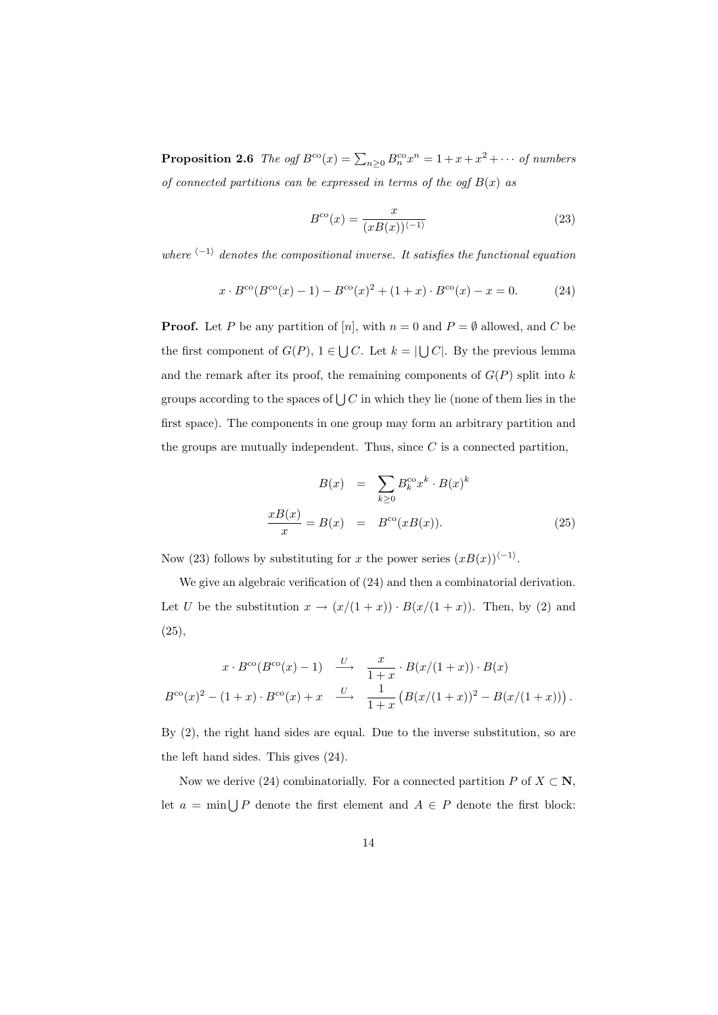**Proposition 2.6** The ogf  $B^{co}(x) = \sum_{n\geq 0} B_n^{co} x^n = 1 + x + x^2 + \cdots$  of numbers of connected partitions can be expressed in terms of the ogf  $B(x)$  as

$$
B^{\rm co}(x) = \frac{x}{(xB(x))^{(-1)}}
$$
\n(23)

where  $\langle -1 \rangle$  denotes the compositional inverse. It satisfies the functional equation

$$
x \cdot B^{\text{co}}(B^{\text{co}}(x) - 1) - B^{\text{co}}(x)^{2} + (1 + x) \cdot B^{\text{co}}(x) - x = 0.
$$
 (24)

**Proof.** Let P be any partition of [n], with  $n = 0$  and  $P = \emptyset$  allowed, and C be the first component of  $G(P)$ ,  $1 \in \bigcup C$ . Let  $k = |\bigcup C|$ . By the previous lemma and the remark after its proof, the remaining components of  $G(P)$  split into k groups according to the spaces of  $\bigcup C$  in which they lie (none of them lies in the first space). The components in one group may form an arbitrary partition and the groups are mutually independent. Thus, since  $C$  is a connected partition,

$$
B(x) = \sum_{k\geq 0} B_k^{\text{co}} x^k \cdot B(x)^k
$$

$$
\frac{xB(x)}{x} = B(x) = B^{\text{co}}(xB(x)).
$$
 (25)

Now (23) follows by substituting for x the power series  $(xB(x))\langle -1 \rangle$ .

We give an algebraic verification of (24) and then a combinatorial derivation. Let U be the substitution  $x \to (x/(1+x)) \cdot B(x/(1+x))$ . Then, by (2) and  $(25),$ 

$$
x \cdot B^{\text{co}}(B^{\text{co}}(x) - 1) \xrightarrow{U} \frac{x}{1+x} \cdot B(x/(1+x)) \cdot B(x)
$$
  

$$
B^{\text{co}}(x)^{2} - (1+x) \cdot B^{\text{co}}(x) + x \xrightarrow{U} \frac{1}{1+x} (B(x/(1+x))^{2} - B(x/(1+x))) .
$$

By (2), the right hand sides are equal. Due to the inverse substitution, so are the left hand sides. This gives (24).

Now we derive (24) combinatorially. For a connected partition P of  $X \subset \mathbb{N}$ , let  $a = \min \bigcup P$  denote the first element and  $A \in P$  denote the first block: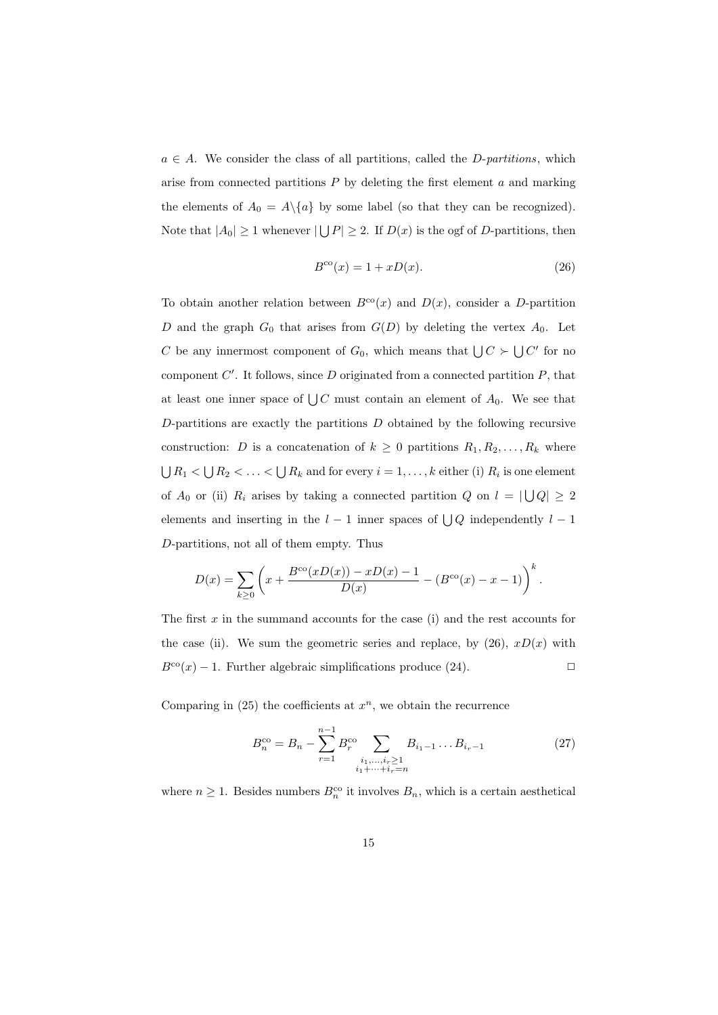$a \in A$ . We consider the class of all partitions, called the *D-partitions*, which arise from connected partitions  $P$  by deleting the first element  $a$  and marking the elements of  $A_0 = A \setminus \{a\}$  by some label (so that they can be recognized). Note that  $|A_0| \ge 1$  whenever  $|\bigcup P| \ge 2$ . If  $D(x)$  is the ogf of D-partitions, then

$$
B^{\rm co}(x) = 1 + xD(x). \tag{26}
$$

To obtain another relation between  $B^{co}(x)$  and  $D(x)$ , consider a D-partition D and the graph  $G_0$  that arises from  $G(D)$  by deleting the vertex  $A_0$ . Let C be any innermost component of  $G_0$ , which means that  $\bigcup C \succ \bigcup C'$  for no component  $C'$ . It follows, since  $D$  originated from a connected partition  $P$ , that at least one inner space of  $\bigcup C$  must contain an element of  $A_0$ . We see that  $D$ -partitions are exactly the partitions  $D$  obtained by the following recursive construction: D is a concatenation of  $k \geq 0$  partitions  $R_1, R_2, \ldots, R_k$  where  $\bigcup R_1 < \bigcup R_2 < \ldots < \bigcup R_k$  and for every  $i = 1, \ldots, k$  either (i)  $R_i$  is one element of  $A_0$  or (ii)  $R_i$  arises by taking a connected partition Q on  $l = |\bigcup Q| \geq 2$ elements and inserting in the  $l-1$  inner spaces of  $\bigcup Q$  independently  $l-1$ D-partitions, not all of them empty. Thus

$$
D(x) = \sum_{k \ge 0} \left( x + \frac{B^{\text{co}}(xD(x)) - xD(x) - 1}{D(x)} - (B^{\text{co}}(x) - x - 1) \right)^k.
$$

The first  $x$  in the summand accounts for the case (i) and the rest accounts for the case (ii). We sum the geometric series and replace, by  $(26)$ ,  $xD(x)$  with  $B^{co}(x) - 1$ . Further algebraic simplifications produce (24).

Comparing in  $(25)$  the coefficients at  $x^n$ , we obtain the recurrence

$$
B_n^{\rm co} = B_n - \sum_{r=1}^{n-1} B_r^{\rm co} \sum_{\substack{i_1, \dots, i_r \ge 1 \\ i_1 + \dots + i_r = n}} B_{i_1 - 1} \dots B_{i_r - 1}
$$
 (27)

where  $n \geq 1$ . Besides numbers  $B_n^{\rm co}$  it involves  $B_n$ , which is a certain aesthetical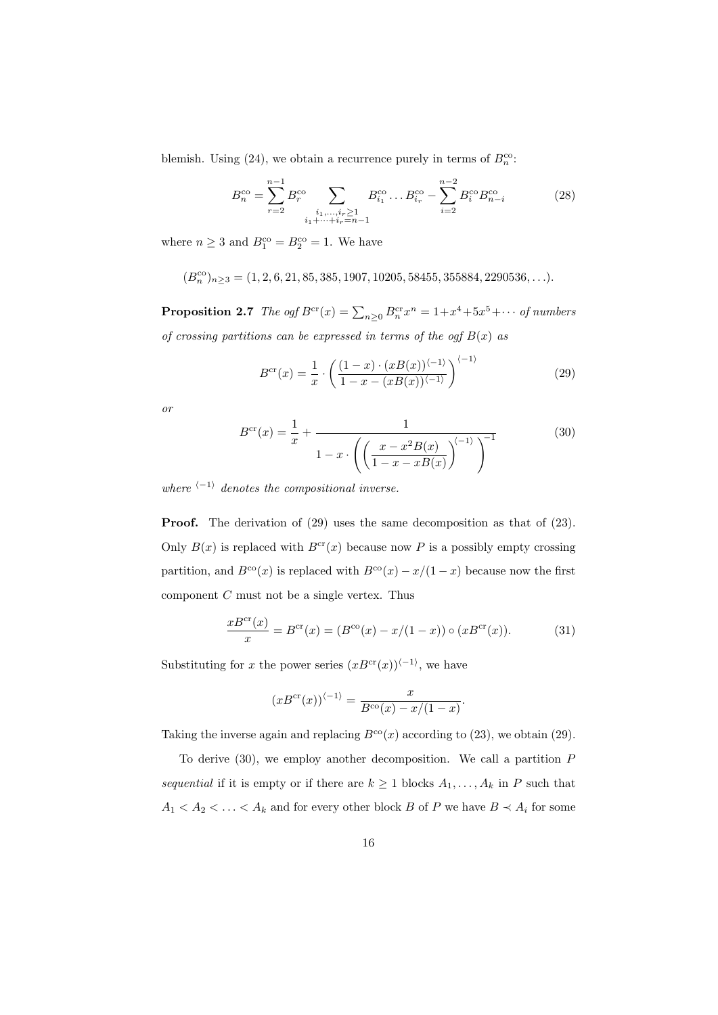blemish. Using (24), we obtain a recurrence purely in terms of  $B_n^{\text{co}}$ .

$$
B_n^{\text{co}} = \sum_{r=2}^{n-1} B_r^{\text{co}} \sum_{\substack{i_1, \dots, i_r \ge 1 \\ i_1 + \dots + i_r = n-1}} B_{i_1}^{\text{co}} \dots B_{i_r}^{\text{co}} - \sum_{i=2}^{n-2} B_i^{\text{co}} B_{n-i}^{\text{co}} \tag{28}
$$

where  $n \geq 3$  and  $B_1^{\text{co}} = B_2^{\text{co}} = 1$ . We have

$$
(B_n^{co})_{n \geq 3} = (1, 2, 6, 21, 85, 385, 1907, 10205, 58455, 355884, 2290536, \ldots).
$$

**Proposition 2.7** The ogf  $B^{cr}(x) = \sum_{n\geq 0} B^{cr}_n x^n = 1 + x^4 + 5x^5 + \cdots$  of numbers of crossing partitions can be expressed in terms of the ogf  $B(x)$  as

$$
B^{\rm cr}(x) = \frac{1}{x} \cdot \left( \frac{(1-x) \cdot (xB(x))^{(-1)}}{1-x-(xB(x))^{(-1)}} \right)^{(-1)}
$$
(29)

or

$$
B^{\text{cr}}(x) = \frac{1}{x} + \frac{1}{1 - x \cdot \left( \left( \frac{x - x^2 B(x)}{1 - x - xB(x)} \right)^{(-1)} \right)^{-1}} \tag{30}
$$

where  $\langle -1 \rangle$  denotes the compositional inverse.

**Proof.** The derivation of (29) uses the same decomposition as that of (23). Only  $B(x)$  is replaced with  $B^{cr}(x)$  because now P is a possibly empty crossing partition, and  $B^{co}(x)$  is replaced with  $B^{co}(x) - x/(1-x)$  because now the first component  $C$  must not be a single vertex. Thus

$$
\frac{xB^{\text{cr}}(x)}{x} = B^{\text{cr}}(x) = (B^{\text{co}}(x) - x/(1-x)) \circ (xB^{\text{cr}}(x)).
$$
 (31)

Substituting for x the power series  $(xB<sup>cr</sup>(x))<sup>{-1}</sup>$ , we have

$$
(xB^{\rm cr}(x))^{(-1)} = \frac{x}{B^{\rm co}(x) - x/(1-x)}.
$$

Taking the inverse again and replacing  $B^{co}(x)$  according to (23), we obtain (29).

To derive  $(30)$ , we employ another decomposition. We call a partition  $P$ sequential if it is empty or if there are  $k \geq 1$  blocks  $A_1, \ldots, A_k$  in P such that  $A_1 < A_2 < \ldots < A_k$  and for every other block B of P we have  $B \prec A_i$  for some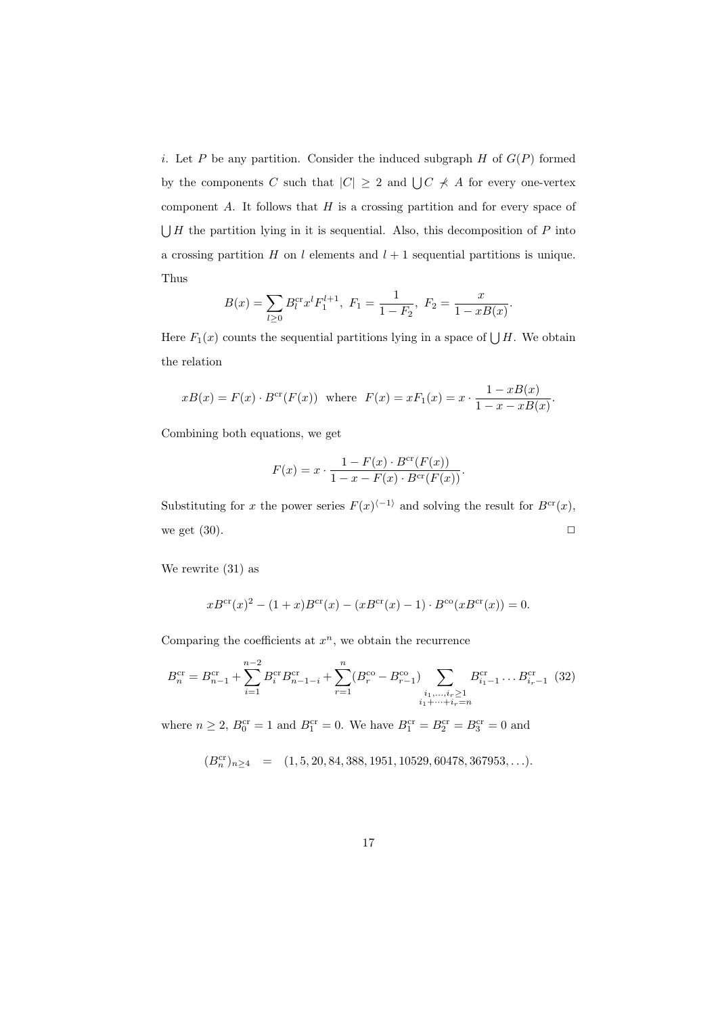i. Let P be any partition. Consider the induced subgraph  $H$  of  $G(P)$  formed by the components C such that  $|C| \geq 2$  and  $\bigcup C \neq A$  for every one-vertex component  $A$ . It follows that  $H$  is a crossing partition and for every space of  $\bigcup H$  the partition lying in it is sequential. Also, this decomposition of P into a crossing partition  $H$  on  $l$  elements and  $l + 1$  sequential partitions is unique. Thus

$$
B(x) = \sum_{l \ge 0} B_l^{cr} x^l F_1^{l+1}, \ F_1 = \frac{1}{1 - F_2}, \ F_2 = \frac{x}{1 - xB(x)}.
$$

Here  $F_1(x)$  counts the sequential partitions lying in a space of  $\bigcup H$ . We obtain the relation

$$
xB(x) = F(x) \cdot B^{cr}(F(x))
$$
 where  $F(x) = xF_1(x) = x \cdot \frac{1 - xB(x)}{1 - x - xB(x)}$ .

Combining both equations, we get

$$
F(x) = x \cdot \frac{1 - F(x) \cdot B^{\text{cr}}(F(x))}{1 - x - F(x) \cdot B^{\text{cr}}(F(x))}.
$$

Substituting for x the power series  $F(x)^{\langle -1 \rangle}$  and solving the result for  $B^{\text{cr}}(x)$ , we get  $(30)$ .

We rewrite (31) as

$$
xB^{\text{cr}}(x)^2 - (1+x)B^{\text{cr}}(x) - (xB^{\text{cr}}(x) - 1) \cdot B^{\text{co}}(xB^{\text{cr}}(x)) = 0.
$$

Comparing the coefficients at  $x^n$ , we obtain the recurrence

$$
B_n^{\text{cr}} = B_{n-1}^{\text{cr}} + \sum_{i=1}^{n-2} B_i^{\text{cr}} B_{n-1-i}^{\text{cr}} + \sum_{r=1}^n (B_r^{\text{co}} - B_{r-1}^{\text{co}}) \sum_{\substack{i_1, \dots, i_r \ge 1 \\ i_1 + \dots + i_r = n}} B_{i_1 - 1}^{\text{cr}} \dots B_{i_r - 1}^{\text{cr}} \quad (32)
$$

where  $n \ge 2$ ,  $B_0^{\text{cr}} = 1$  and  $B_1^{\text{cr}} = 0$ . We have  $B_1^{\text{cr}} = B_2^{\text{cr}} = B_3^{\text{cr}} = 0$  and

$$
(B_n^{\rm cr})_{n \ge 4} = (1, 5, 20, 84, 388, 1951, 10529, 60478, 367953, \ldots).
$$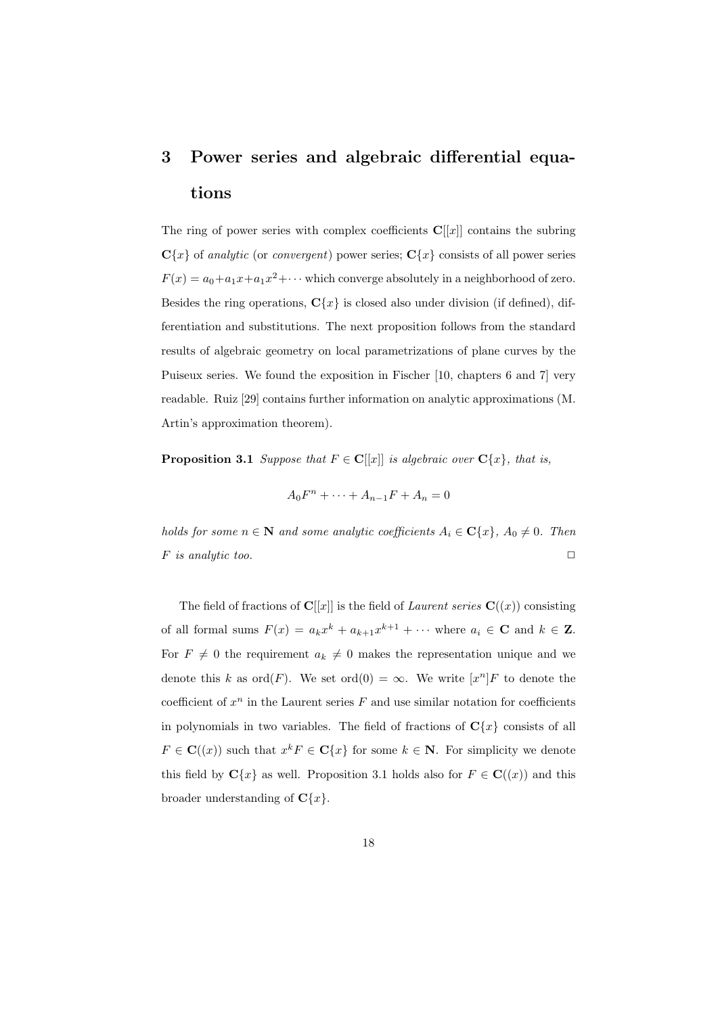# 3 Power series and algebraic differential equations

The ring of power series with complex coefficients  $\mathbf{C}[[x]]$  contains the subring  $C{x}$  of analytic (or convergent) power series;  $C{x}$  consists of all power series  $F(x) = a_0 + a_1x + a_1x^2 + \cdots$  which converge absolutely in a neighborhood of zero. Besides the ring operations,  $C{x}$  is closed also under division (if defined), differentiation and substitutions. The next proposition follows from the standard results of algebraic geometry on local parametrizations of plane curves by the Puiseux series. We found the exposition in Fischer [10, chapters 6 and 7] very readable. Ruiz [29] contains further information on analytic approximations (M. Artin's approximation theorem).

**Proposition 3.1** Suppose that  $F \in \mathbb{C}[[x]]$  is algebraic over  $\mathbb{C}\{x\}$ , that is,

 $A_0F^n + \cdots + A_{n-1}F + A_n = 0$ 

holds for some  $n \in \mathbb{N}$  and some analytic coefficients  $A_i \in \mathbb{C}\{x\}$ ,  $A_0 \neq 0$ . Then F is analytic too.  $\Box$ 

The field of fractions of  $\mathbf{C}[[x]]$  is the field of *Laurent series*  $\mathbf{C}((x))$  consisting of all formal sums  $F(x) = a_k x^k + a_{k+1} x^{k+1} + \cdots$  where  $a_i \in \mathbb{C}$  and  $k \in \mathbb{Z}$ . For  $F \neq 0$  the requirement  $a_k \neq 0$  makes the representation unique and we denote this k as  $\text{ord}(F)$ . We set  $\text{ord}(0) = \infty$ . We write  $[x^n]F$  to denote the coefficient of  $x^n$  in the Laurent series  $F$  and use similar notation for coefficients in polynomials in two variables. The field of fractions of  $C{x}$  consists of all  $F \in \mathbf{C}((x))$  such that  $x^k F \in \mathbf{C}\{x\}$  for some  $k \in \mathbf{N}$ . For simplicity we denote this field by  $\mathbf{C}{x}$  as well. Proposition 3.1 holds also for  $F \in \mathbf{C}((x))$  and this broader understanding of  $\mathbf{C}\{x\}$ .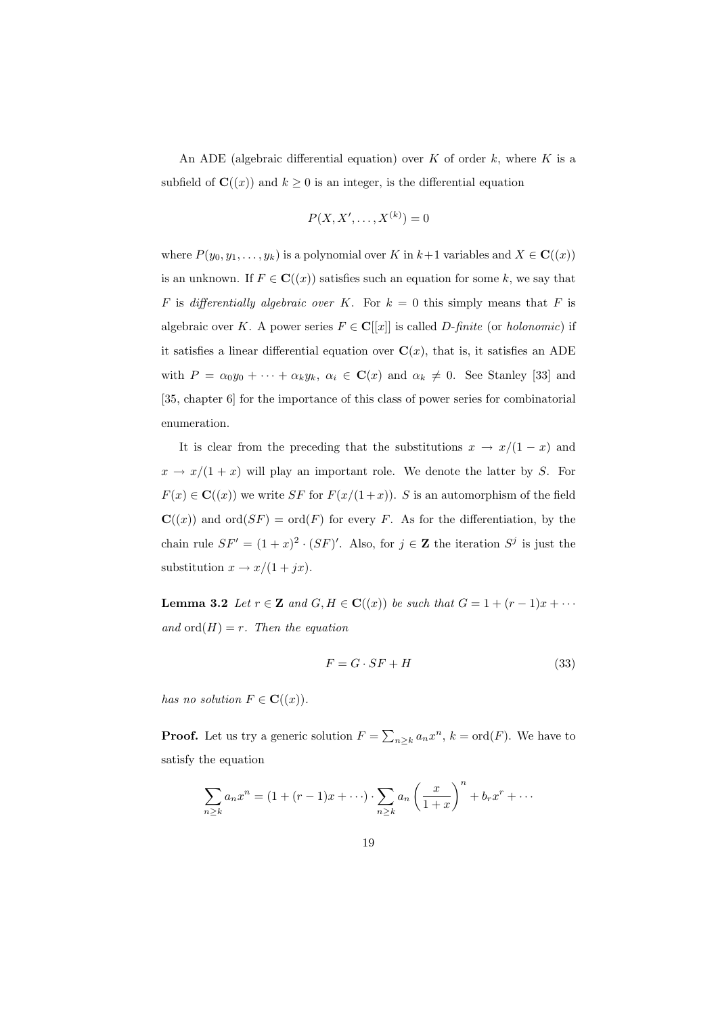An ADE (algebraic differential equation) over  $K$  of order  $k$ , where  $K$  is a subfield of  $\mathbf{C}((x))$  and  $k \geq 0$  is an integer, is the differential equation

$$
P(X, X', \ldots, X^{(k)}) = 0
$$

where  $P(y_0, y_1, \ldots, y_k)$  is a polynomial over K in  $k+1$  variables and  $X \in \mathbf{C}((x))$ is an unknown. If  $F \in \mathbf{C}((x))$  satisfies such an equation for some k, we say that F is differentially algebraic over K. For  $k = 0$  this simply means that F is algebraic over K. A power series  $F \in \mathbf{C}[[x]]$  is called *D*-finite (or holonomic) if it satisfies a linear differential equation over  $\mathbf{C}(x)$ , that is, it satisfies an ADE with  $P = \alpha_0 y_0 + \cdots + \alpha_k y_k, \ \alpha_i \in \mathbf{C}(x)$  and  $\alpha_k \neq 0$ . See Stanley [33] and [35, chapter 6] for the importance of this class of power series for combinatorial enumeration.

It is clear from the preceding that the substitutions  $x \to x/(1-x)$  and  $x \to x/(1+x)$  will play an important role. We denote the latter by S. For  $F(x) \in \mathbf{C}((x))$  we write SF for  $F(x/(1+x))$ . S is an automorphism of the field  $\mathbf{C}((x))$  and  $\mathrm{ord}(SF) = \mathrm{ord}(F)$  for every F. As for the differentiation, by the chain rule  $SF' = (1 + x)^2 \cdot (SF)'$ . Also, for  $j \in \mathbb{Z}$  the iteration  $S^j$  is just the substitution  $x \to x/(1+jx)$ .

**Lemma 3.2** Let  $r \in \mathbb{Z}$  and  $G, H \in \mathbb{C}((x))$  be such that  $G = 1 + (r - 1)x + \cdots$ and  $\text{ord}(H) = r$ . Then the equation

$$
F = G \cdot SF + H \tag{33}
$$

has no solution  $F \in \mathbf{C}((x))$ .

**Proof.** Let us try a generic solution  $F = \sum_{n \geq k} a_n x^n$ ,  $k = \text{ord}(F)$ . We have to satisfy the equation

$$
\sum_{n\geq k} a_n x^n = (1 + (r-1)x + \cdots) \cdot \sum_{n\geq k} a_n \left(\frac{x}{1+x}\right)^n + b_r x^r + \cdots
$$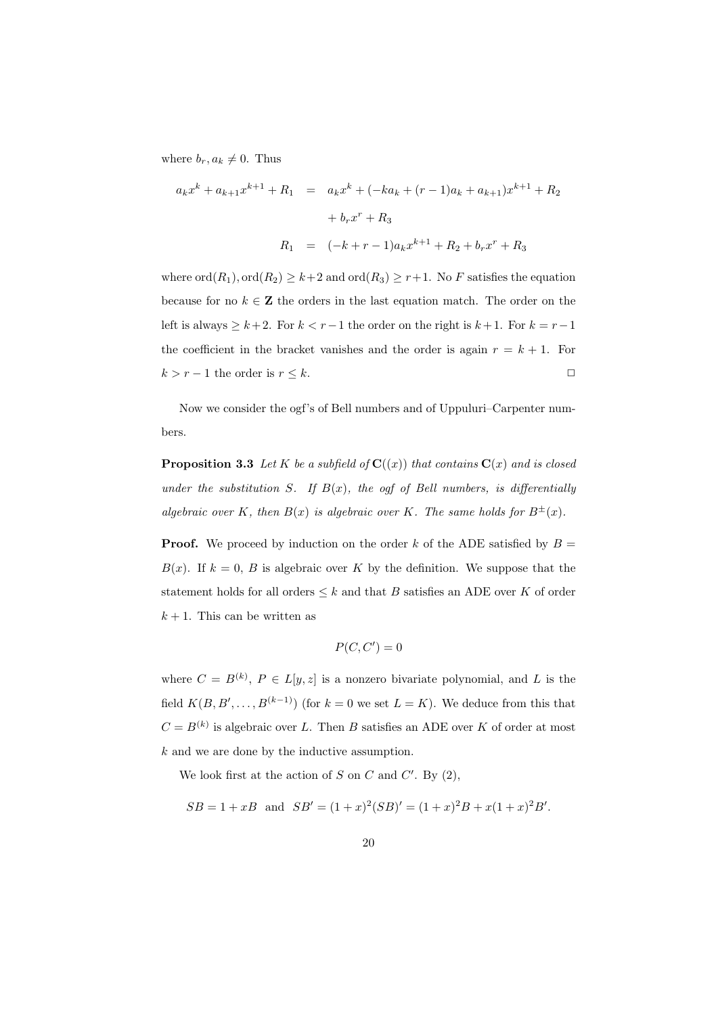where  $b_r, a_k \neq 0$ . Thus

$$
a_k x^k + a_{k+1} x^{k+1} + R_1 = a_k x^k + (-ka_k + (r-1)a_k + a_{k+1})x^{k+1} + R_2
$$
  
+  $b_r x^r + R_3$   

$$
R_1 = (-k+r-1)a_k x^{k+1} + R_2 + b_r x^r + R_3
$$

where  $\text{ord}(R_1)$ ,  $\text{ord}(R_2) \geq k+2$  and  $\text{ord}(R_3) \geq r+1$ . No F satisfies the equation because for no  $k \in \mathbb{Z}$  the orders in the last equation match. The order on the left is always  $\geq k+2$ . For  $k < r-1$  the order on the right is  $k+1$ . For  $k = r-1$ the coefficient in the bracket vanishes and the order is again  $r = k + 1$ . For  $k > r - 1$  the order is  $r \leq k$ .

Now we consider the ogf's of Bell numbers and of Uppuluri–Carpenter numbers.

**Proposition 3.3** Let K be a subfield of  $\mathbf{C}((x))$  that contains  $\mathbf{C}(x)$  and is closed under the substitution S. If  $B(x)$ , the ogf of Bell numbers, is differentially algebraic over K, then  $B(x)$  is algebraic over K. The same holds for  $B^{\pm}(x)$ .

**Proof.** We proceed by induction on the order k of the ADE satisfied by  $B =$  $B(x)$ . If  $k = 0$ , B is algebraic over K by the definition. We suppose that the statement holds for all orders  $\leq k$  and that B satisfies an ADE over K of order  $k + 1$ . This can be written as

$$
P(C, C') = 0
$$

where  $C = B^{(k)}$ ,  $P \in L[y, z]$  is a nonzero bivariate polynomial, and L is the field  $K(B, B', \ldots, B^{(k-1)})$  (for  $k = 0$  we set  $L = K$ ). We deduce from this that  $C = B^{(k)}$  is algebraic over L. Then B satisfies an ADE over K of order at most k and we are done by the inductive assumption.

We look first at the action of  $S$  on  $C$  and  $C'$ . By  $(2)$ ,

$$
SB = 1 + xB
$$
 and  $SB' = (1 + x)^2 (SB)' = (1 + x)^2 B + x(1 + x)^2 B'.$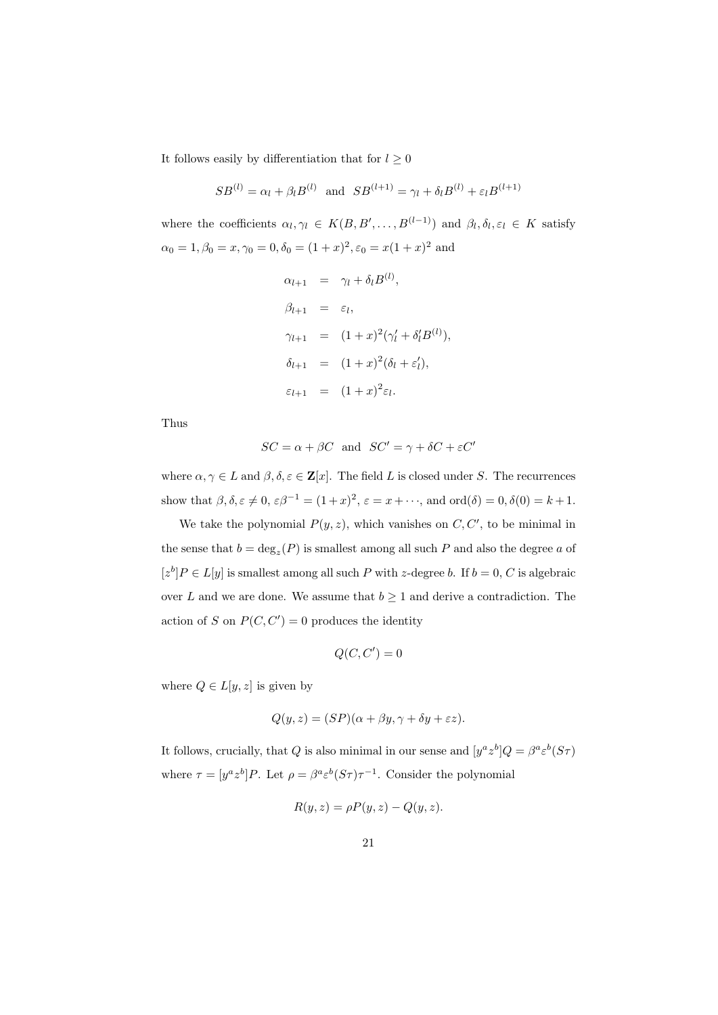It follows easily by differentiation that for  $l \geq 0$ 

$$
SB^{(l)} = \alpha_l + \beta_l B^{(l)}
$$
 and  $SB^{(l+1)} = \gamma_l + \delta_l B^{(l)} + \varepsilon_l B^{(l+1)}$ 

where the coefficients  $\alpha_l, \gamma_l \in K(B, B', \ldots, B^{(l-1)})$  and  $\beta_l, \delta_l, \varepsilon_l \in K$  satisfy  $\alpha_0 = 1, \beta_0 = x, \gamma_0 = 0, \delta_0 = (1+x)^2, \epsilon_0 = x(1+x)^2$  and

$$
\alpha_{l+1} = \gamma_l + \delta_l B^{(l)},
$$
  
\n
$$
\beta_{l+1} = \varepsilon_l,
$$
  
\n
$$
\gamma_{l+1} = (1+x)^2(\gamma_l' + \delta_l' B^{(l)}),
$$
  
\n
$$
\delta_{l+1} = (1+x)^2(\delta_l + \varepsilon_l'),
$$
  
\n
$$
\varepsilon_{l+1} = (1+x)^2 \varepsilon_l.
$$

Thus

$$
SC = \alpha + \beta C \text{ and } SC' = \gamma + \delta C + \varepsilon C'
$$

where  $\alpha, \gamma \in L$  and  $\beta, \delta, \varepsilon \in \mathbb{Z}[x]$ . The field L is closed under S. The recurrences show that  $\beta, \delta, \varepsilon \neq 0, \varepsilon \beta^{-1} = (1+x)^2, \varepsilon = x + \cdots$ , and  $\text{ord}(\delta) = 0, \delta(0) = k+1$ .

We take the polynomial  $P(y, z)$ , which vanishes on  $C, C'$ , to be minimal in the sense that  $b = \deg_z(P)$  is smallest among all such P and also the degree a of  $[z^b]P \in L[y]$  is smallest among all such P with z-degree b. If  $b = 0, C$  is algebraic over L and we are done. We assume that  $b \geq 1$  and derive a contradiction. The action of S on  $P(C, C') = 0$  produces the identity

$$
Q(C, C') = 0
$$

where  $Q \in L[y, z]$  is given by

$$
Q(y, z) = (SP)(\alpha + \beta y, \gamma + \delta y + \varepsilon z).
$$

It follows, crucially, that Q is also minimal in our sense and  $[y^a z^b]Q = \beta^a \varepsilon^b (S\tau)$ where  $\tau = [y^a z^b]P$ . Let  $\rho = \beta^a \varepsilon^b (S\tau) \tau^{-1}$ . Consider the polynomial

$$
R(y, z) = \rho P(y, z) - Q(y, z).
$$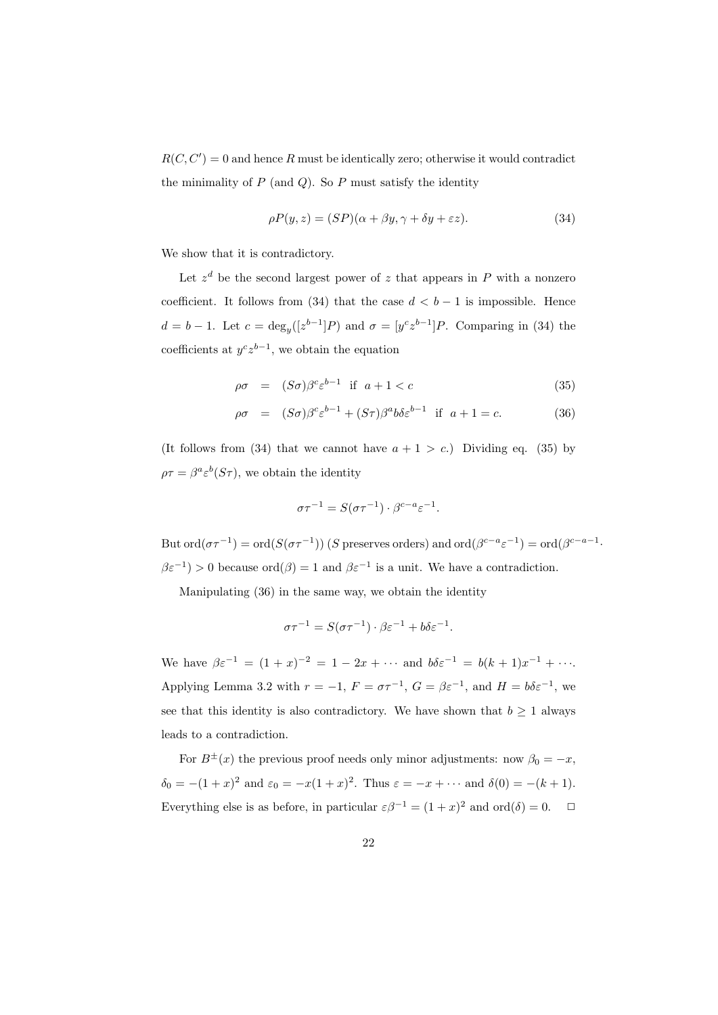$R(C, C') = 0$  and hence R must be identically zero; otherwise it would contradict the minimality of  $P$  (and  $Q$ ). So  $P$  must satisfy the identity

$$
\rho P(y, z) = (SP)(\alpha + \beta y, \gamma + \delta y + \varepsilon z). \tag{34}
$$

We show that it is contradictory.

Let  $z<sup>d</sup>$  be the second largest power of z that appears in P with a nonzero coefficient. It follows from (34) that the case  $d < b - 1$  is impossible. Hence  $d = b - 1$ . Let  $c = \deg_y([z^{b-1}]P)$  and  $\sigma = [y^c z^{b-1}]P$ . Comparing in (34) the coefficients at  $y^c z^{b-1}$ , we obtain the equation

$$
\rho \sigma = (S\sigma)\beta^c \varepsilon^{b-1} \text{ if } a+1 < c \tag{35}
$$

$$
\rho \sigma = (S\sigma)\beta^c \varepsilon^{b-1} + (S\tau)\beta^a b \delta \varepsilon^{b-1} \text{ if } a+1=c.
$$
 (36)

(It follows from (34) that we cannot have  $a + 1 > c$ .) Dividing eq. (35) by  $\rho \tau = \beta^a \varepsilon^b (S \tau)$ , we obtain the identity

$$
\sigma \tau^{-1} = S(\sigma \tau^{-1}) \cdot \beta^{c-a} \varepsilon^{-1}.
$$

But  $\text{ord}(\sigma\tau^{-1}) = \text{ord}(S(\sigma\tau^{-1}))$  (S preserves orders) and  $\text{ord}(\beta^{c-a}\varepsilon^{-1}) = \text{ord}(\beta^{c-a-1})$ .  $\beta \varepsilon^{-1}$  > 0 because ord $(\beta) = 1$  and  $\beta \varepsilon^{-1}$  is a unit. We have a contradiction.

Manipulating (36) in the same way, we obtain the identity

$$
\sigma \tau^{-1} = S(\sigma \tau^{-1}) \cdot \beta \varepsilon^{-1} + b \delta \varepsilon^{-1}.
$$

We have  $\beta \varepsilon^{-1} = (1+x)^{-2} = 1 - 2x + \cdots$  and  $b\delta \varepsilon^{-1} = b(k+1)x^{-1} + \cdots$ Applying Lemma 3.2 with  $r = -1$ ,  $F = \sigma \tau^{-1}$ ,  $G = \beta \varepsilon^{-1}$ , and  $H = b\delta \varepsilon^{-1}$ , we see that this identity is also contradictory. We have shown that  $b \geq 1$  always leads to a contradiction.

For  $B^{\pm}(x)$  the previous proof needs only minor adjustments: now  $\beta_0 = -x$ ,  $\delta_0 = -(1+x)^2$  and  $\varepsilon_0 = -x(1+x)^2$ . Thus  $\varepsilon = -x + \cdots$  and  $\delta(0) = -(k+1)$ . Everything else is as before, in particular  $\varepsilon \beta^{-1} = (1+x)^2$  and  $\text{ord}(\delta) = 0$ .  $\Box$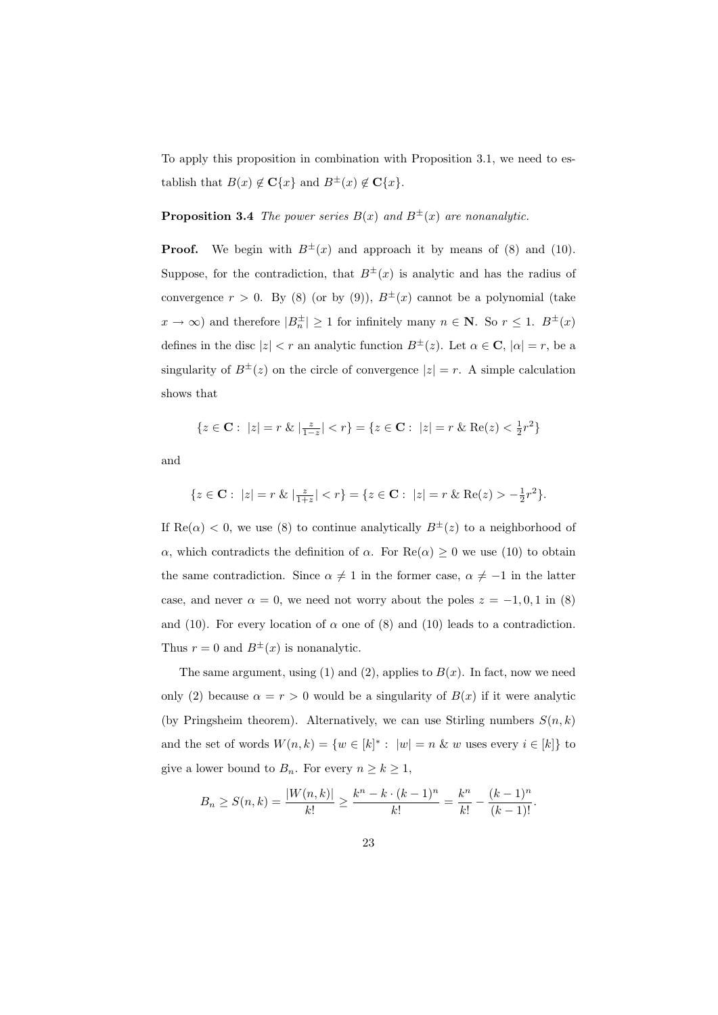To apply this proposition in combination with Proposition 3.1, we need to establish that  $B(x) \notin \mathbf{C}\{x\}$  and  $B^{\pm}(x) \notin \mathbf{C}\{x\}$ .

### **Proposition 3.4** The power series  $B(x)$  and  $B^{\pm}(x)$  are nonanalytic.

**Proof.** We begin with  $B^{\pm}(x)$  and approach it by means of (8) and (10). Suppose, for the contradiction, that  $B^{\pm}(x)$  is analytic and has the radius of convergence  $r > 0$ . By (8) (or by (9)),  $B^{\pm}(x)$  cannot be a polynomial (take  $x \to \infty$ ) and therefore  $|B_n^{\pm}| \ge 1$  for infinitely many  $n \in \mathbb{N}$ . So  $r \le 1$ .  $B^{\pm}(x)$ defines in the disc  $|z| < r$  an analytic function  $B^{\pm}(z)$ . Let  $\alpha \in \mathbb{C}$ ,  $|\alpha| = r$ , be a singularity of  $B^{\pm}(z)$  on the circle of convergence  $|z| = r$ . A simple calculation shows that

$$
\{z \in \mathbf{C} : |z| = r \& | \frac{z}{1-z} | < r\} = \{z \in \mathbf{C} : |z| = r \& \text{Re}(z) < \frac{1}{2}r^2\}
$$

and

$$
\{z \in \mathbf{C}: \ |z| = r \ \& \ |\frac{z}{1+z}| < r\} = \{z \in \mathbf{C}: \ |z| = r \ \& \ \text{Re}(z) > -\frac{1}{2}r^2\}.
$$

If  $\text{Re}(\alpha) < 0$ , we use (8) to continue analytically  $B^{\pm}(z)$  to a neighborhood of α, which contradicts the definition of α. For  $\text{Re}(\alpha) \geq 0$  we use (10) to obtain the same contradiction. Since  $\alpha \neq 1$  in the former case,  $\alpha \neq -1$  in the latter case, and never  $\alpha = 0$ , we need not worry about the poles  $z = -1, 0, 1$  in (8) and (10). For every location of  $\alpha$  one of (8) and (10) leads to a contradiction. Thus  $r = 0$  and  $B^{\pm}(x)$  is nonanalytic.

The same argument, using (1) and (2), applies to  $B(x)$ . In fact, now we need only (2) because  $\alpha = r > 0$  would be a singularity of  $B(x)$  if it were analytic (by Pringsheim theorem). Alternatively, we can use Stirling numbers  $S(n, k)$ and the set of words  $W(n,k) = \{w \in [k]^* : |w| = n \& w$  uses every  $i \in [k] \}$  to give a lower bound to  $B_n$ . For every  $n \geq k \geq 1$ ,

$$
B_n \ge S(n,k) = \frac{|W(n,k)|}{k!} \ge \frac{k^n - k \cdot (k-1)^n}{k!} = \frac{k^n}{k!} - \frac{(k-1)^n}{(k-1)!}.
$$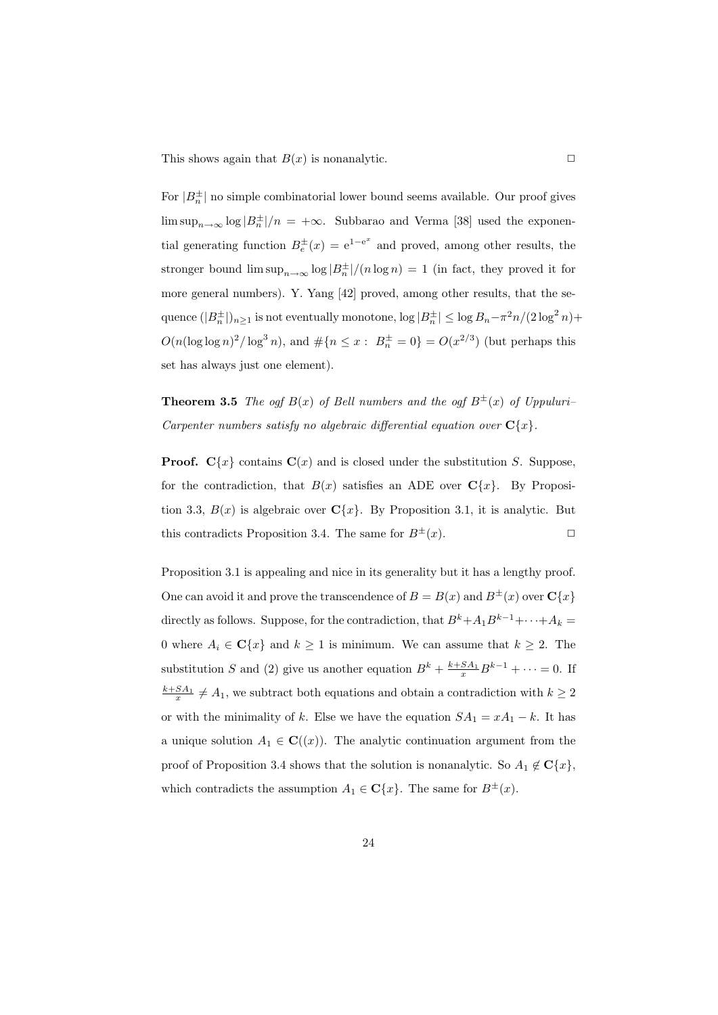This shows again that  $B(x)$  is nonanalytic.  $\square$ 

For  $|B_n^{\pm}|$  no simple combinatorial lower bound seems available. Our proof gives  $\limsup_{n\to\infty} \log |B_n^{\pm}|/n = +\infty$ . Subbarao and Verma [38] used the exponential generating function  $B_e^{\pm}(x) = e^{1-e^x}$  and proved, among other results, the stronger bound  $\limsup_{n\to\infty} \log |B_n^{\pm}|/(n \log n) = 1$  (in fact, they proved it for more general numbers). Y. Yang [42] proved, among other results, that the sequence  $(|B_n^{\pm}|)_{n\geq 1}$  is not eventually monotone,  $\log |B_n^{\pm}| \leq \log B_n - \pi^2 n/(2\log^2 n) +$  $O(n(\log \log n)^2 / \log^3 n)$ , and  $\# \{ n \leq x : B_n^{\pm} = 0 \} = O(x^{2/3})$  (but perhaps this set has always just one element).

**Theorem 3.5** The ogf  $B(x)$  of Bell numbers and the ogf  $B^{\pm}(x)$  of Uppuluri– Carpenter numbers satisfy no algebraic differential equation over  $C\{x\}$ .

**Proof.**  $C\{x\}$  contains  $C(x)$  and is closed under the substitution S. Suppose, for the contradiction, that  $B(x)$  satisfies an ADE over  $C\{x\}$ . By Proposition 3.3,  $B(x)$  is algebraic over  $C\{x\}$ . By Proposition 3.1, it is analytic. But this contradicts Proposition 3.4. The same for  $B^{\pm}(x)$ .

Proposition 3.1 is appealing and nice in its generality but it has a lengthy proof. One can avoid it and prove the transcendence of  $B = B(x)$  and  $B^{\pm}(x)$  over  $C\{x\}$ directly as follows. Suppose, for the contradiction, that  $B^k + A_1 B^{k-1} + \cdots + A_k =$ 0 where  $A_i \in \mathbb{C}\{x\}$  and  $k \geq 1$  is minimum. We can assume that  $k \geq 2$ . The substitution S and (2) give us another equation  $B^k + \frac{k + SA_1}{x} B^{k-1} + \cdots = 0$ . If  $\frac{k+SA_1}{x} \neq A_1$ , we subtract both equations and obtain a contradiction with  $k \geq 2$ or with the minimality of k. Else we have the equation  $SA_1 = xA_1 - k$ . It has a unique solution  $A_1 \in \mathbf{C}((x))$ . The analytic continuation argument from the proof of Proposition 3.4 shows that the solution is nonanalytic. So  $A_1 \notin \mathbf{C}\{x\}$ , which contradicts the assumption  $A_1 \in \mathbf{C}\{x\}$ . The same for  $B^{\pm}(x)$ .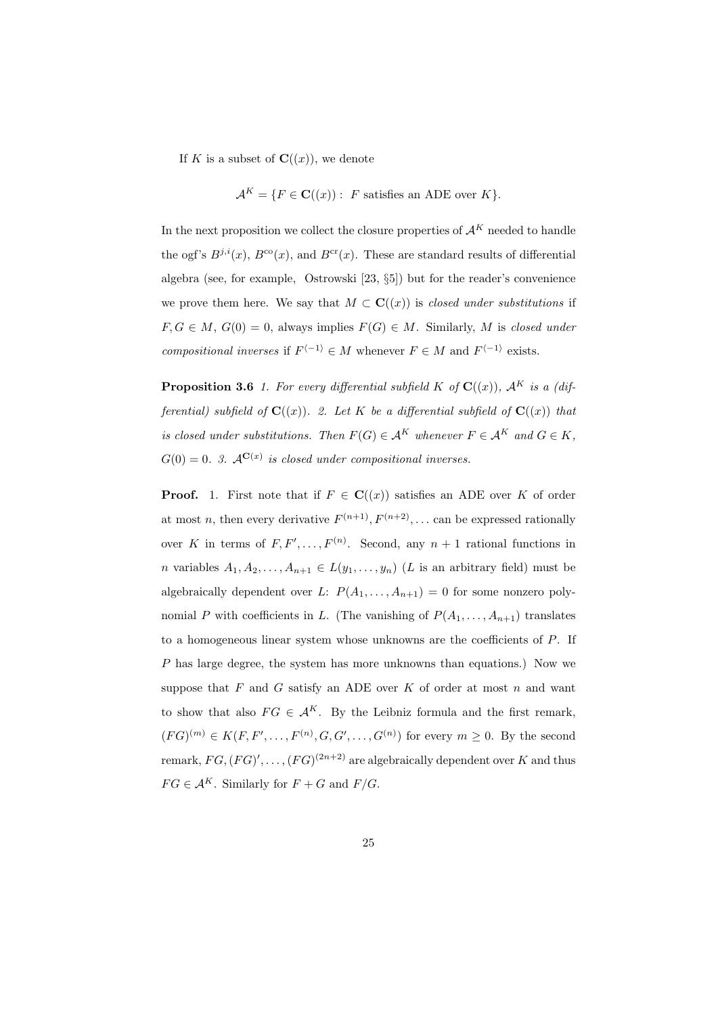If K is a subset of  $\mathbf{C}((x))$ , we denote

$$
\mathcal{A}^K = \{ F \in \mathbf{C}((x)) : F \text{ satisfies an ADE over } K \}.
$$

In the next proposition we collect the closure properties of  $\mathcal{A}^K$  needed to handle the ogf's  $B^{j,i}(x)$ ,  $B^{co}(x)$ , and  $B^{cr}(x)$ . These are standard results of differential algebra (see, for example, Ostrowski [23, §5]) but for the reader's convenience we prove them here. We say that  $M \subset \mathbf{C}((x))$  is *closed under substitutions* if  $F, G \in M$ ,  $G(0) = 0$ , always implies  $F(G) \in M$ . Similarly, M is closed under compositional inverses if  $F^{\langle -1 \rangle} \in M$  whenever  $F \in M$  and  $F^{\langle -1 \rangle}$  exists.

**Proposition 3.6** 1. For every differential subfield K of  $\mathbf{C}((x))$ ,  $\mathcal{A}^K$  is a (differential) subfield of  $\mathbf{C}((x))$ . 2. Let K be a differential subfield of  $\mathbf{C}((x))$  that is closed under substitutions. Then  $F(G) \in A^K$  whenever  $F \in A^K$  and  $G \in K$ ,  $G(0) = 0$ . 3.  $A^{C(x)}$  is closed under compositional inverses.

**Proof.** 1. First note that if  $F \in \mathbf{C}((x))$  satisfies an ADE over K of order at most *n*, then every derivative  $F^{(n+1)}, F^{(n+2)}, \ldots$  can be expressed rationally over K in terms of  $F, F', \ldots, F^{(n)}$ . Second, any  $n + 1$  rational functions in *n* variables  $A_1, A_2, \ldots, A_{n+1} \in L(y_1, \ldots, y_n)$  (*L* is an arbitrary field) must be algebraically dependent over L:  $P(A_1, \ldots, A_{n+1}) = 0$  for some nonzero polynomial P with coefficients in L. (The vanishing of  $P(A_1, \ldots, A_{n+1})$ ) translates to a homogeneous linear system whose unknowns are the coefficients of P. If P has large degree, the system has more unknowns than equations.) Now we suppose that  $F$  and  $G$  satisfy an ADE over  $K$  of order at most  $n$  and want to show that also  $FG \in \mathcal{A}^K$ . By the Leibniz formula and the first remark,  $(FG)^{(m)} \in K(F, F', \ldots, F^{(n)}, G, G', \ldots, G^{(n)})$  for every  $m \geq 0$ . By the second remark,  $FG, (FG)', \ldots, (FG)^{(2n+2)}$  are algebraically dependent over K and thus  $FG \in \mathcal{A}^K$ . Similarly for  $F + G$  and  $F/G$ .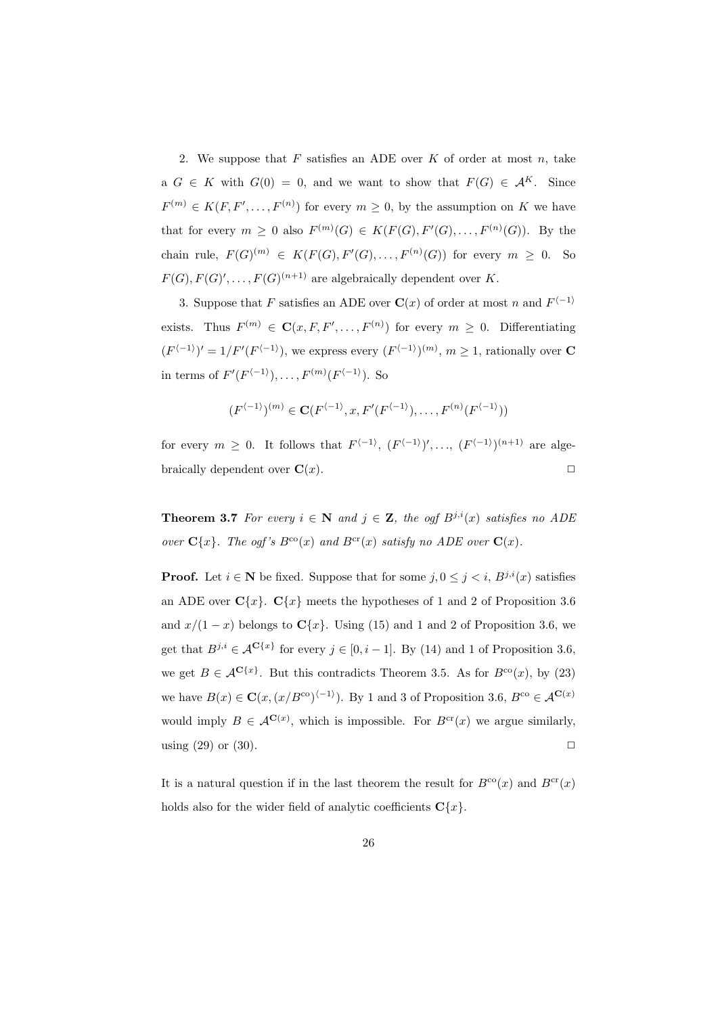2. We suppose that  $F$  satisfies an ADE over  $K$  of order at most  $n$ , take a  $G \in K$  with  $G(0) = 0$ , and we want to show that  $F(G) \in \mathcal{A}^K$ . Since  $F^{(m)} \in K(F, F', \ldots, F^{(n)})$  for every  $m \geq 0$ , by the assumption on K we have that for every  $m \geq 0$  also  $F^{(m)}(G) \in K(F(G), F'(G), \ldots, F^{(n)}(G))$ . By the chain rule,  $F(G)^{(m)} \in K(F(G), F'(G), \ldots, F^{(n)}(G))$  for every  $m \geq 0$ . So  $F(G), F(G)', \ldots, F(G)^{(n+1)}$  are algebraically dependent over K.

3. Suppose that F satisfies an ADE over  $\mathbf{C}(x)$  of order at most n and  $F^{\langle -1 \rangle}$ exists. Thus  $F^{(m)} \in \mathbf{C}(x, F, F', \ldots, F^{(n)})$  for every  $m \geq 0$ . Differentiating  $(F^{\langle -1 \rangle})' = 1/F'(F^{\langle -1 \rangle})$ , we express every  $(F^{\langle -1 \rangle})^{(m)}$ ,  $m \geq 1$ , rationally over **C** in terms of  $F'(F^{\langle -1 \rangle}), \ldots, F^{(m)}(F^{\langle -1 \rangle}).$  So

$$
(F^{\langle -1 \rangle})^{(m)} \in \mathbf{C}(F^{\langle -1 \rangle}, x, F'(F^{\langle -1 \rangle}), \dots, F^{(n)}(F^{\langle -1 \rangle}))
$$

for every  $m \geq 0$ . It follows that  $F^{\langle -1 \rangle}, (F^{\langle -1 \rangle})', \ldots, (F^{\langle -1 \rangle})^{(n+1)}$  are algebraically dependent over  $\mathbf{C}(x)$ .

**Theorem 3.7** For every  $i \in \mathbb{N}$  and  $j \in \mathbb{Z}$ , the ogf  $B^{j,i}(x)$  satisfies no ADE over  $\mathbf{C}\{x\}$ . The ogf's  $B^{co}(x)$  and  $B^{cr}(x)$  satisfy no ADE over  $\mathbf{C}(x)$ .

**Proof.** Let  $i \in \mathbb{N}$  be fixed. Suppose that for some  $j, 0 \leq j \leq i$ ,  $B^{j,i}(x)$  satisfies an ADE over  $C\{x\}$ .  $C\{x\}$  meets the hypotheses of 1 and 2 of Proposition 3.6 and  $x/(1-x)$  belongs to  $\mathbf{C}\{x\}$ . Using (15) and 1 and 2 of Proposition 3.6, we get that  $B^{j,i} \in \mathcal{A}^{\mathbf{C}\{x\}}$  for every  $j \in [0, i-1]$ . By (14) and 1 of Proposition 3.6, we get  $B \in \mathcal{A}^{\mathbf{C}\{x\}}$ . But this contradicts Theorem 3.5. As for  $B^{\text{co}}(x)$ , by (23) we have  $B(x) \in \mathbf{C}(x, (x/B^{\text{co}})^{\langle -1 \rangle})$ . By 1 and 3 of Proposition 3.6,  $B^{\text{co}} \in \mathcal{A}^{\mathbf{C}(x)}$ would imply  $B \in \mathcal{A}^{\mathbf{C}(x)}$ , which is impossible. For  $B^{\text{cr}}(x)$  we argue similarly, using  $(29)$  or  $(30)$ .

It is a natural question if in the last theorem the result for  $B^{co}(x)$  and  $B^{cr}(x)$ holds also for the wider field of analytic coefficients  $C\{x\}$ .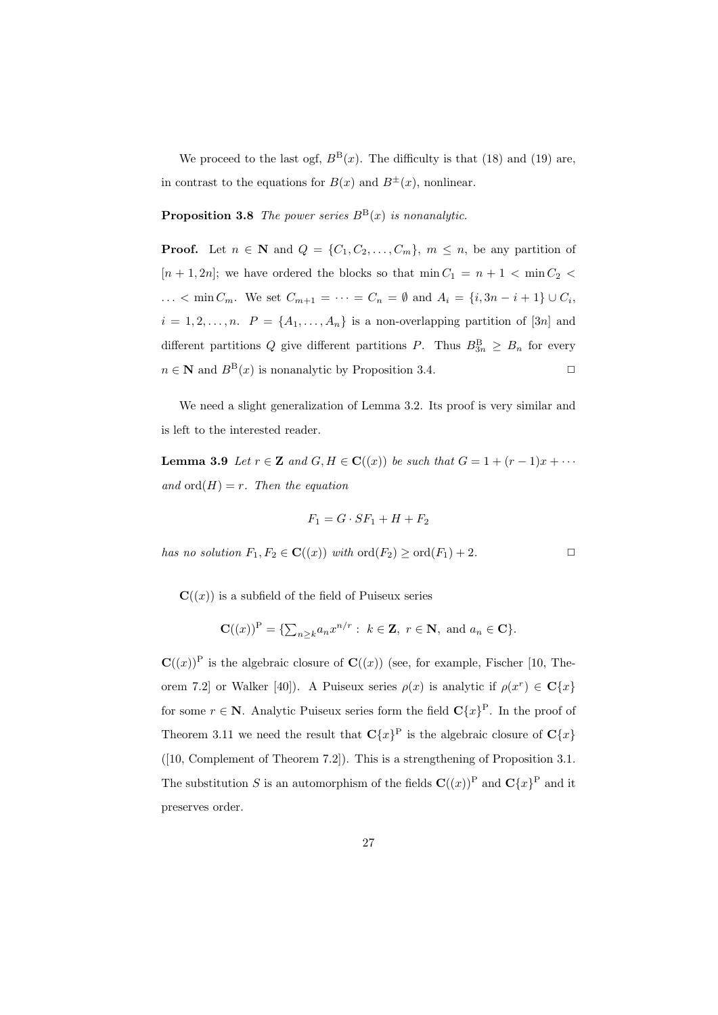We proceed to the last ogf,  $B^{B}(x)$ . The difficulty is that (18) and (19) are, in contrast to the equations for  $B(x)$  and  $B^{\pm}(x)$ , nonlinear.

**Proposition 3.8** The power series  $B^{\text{B}}(x)$  is nonanalytic.

**Proof.** Let  $n \in \mathbb{N}$  and  $Q = \{C_1, C_2, \ldots, C_m\}$ ,  $m \leq n$ , be any partition of  $[n + 1, 2n]$ ; we have ordered the blocks so that  $\min C_1 = n + 1 < \min C_2$ ...  $\langle \min C_m$ . We set  $C_{m+1} = \cdots = C_n = \emptyset$  and  $A_i = \{i, 3n - i + 1\} \cup C_i$ ,  $i = 1, 2, \ldots, n$ .  $P = \{A_1, \ldots, A_n\}$  is a non-overlapping partition of [3n] and different partitions Q give different partitions P. Thus  $B_{3n}^{\text{B}} \geq B_n$  for every  $n \in \mathbb{N}$  and  $B^{B}(x)$  is nonanalytic by Proposition 3.4.

We need a slight generalization of Lemma 3.2. Its proof is very similar and is left to the interested reader.

**Lemma 3.9** Let  $r \in \mathbf{Z}$  and  $G, H \in \mathbf{C}((x))$  be such that  $G = 1 + (r - 1)x + \cdots$ and  $\text{ord}(H) = r$ . Then the equation

$$
F_1 = G \cdot SF_1 + H + F_2
$$

has no solution  $F_1, F_2 \in \mathbf{C}((x))$  with  $\text{ord}(F_2) \geq \text{ord}(F_1) + 2$ .

 $\mathbf{C}(\alpha(x))$  is a subfield of the field of Puiseux series

$$
\mathbf{C}((x))^{\mathrm{P}} = \{ \sum_{n \geq k} a_n x^{n/r} : k \in \mathbf{Z}, r \in \mathbf{N}, \text{ and } a_n \in \mathbf{C} \}.
$$

 $\mathbf{C}((x))^{\text{P}}$  is the algebraic closure of  $\mathbf{C}((x))$  (see, for example, Fischer [10, Theorem 7.2] or Walker [40]). A Puiseux series  $\rho(x)$  is analytic if  $\rho(x^r) \in \mathbb{C}\lbrace x \rbrace$ for some  $r \in \mathbb{N}$ . Analytic Puiseux series form the field  $\mathbf{C}\{x\}^{\mathbb{P}}$ . In the proof of Theorem 3.11 we need the result that  $\mathbf{C}\{x\}^{\mathrm{P}}$  is the algebraic closure of  $\mathbf{C}\{x\}$ ([10, Complement of Theorem 7.2]). This is a strengthening of Proposition 3.1. The substitution S is an automorphism of the fields  $\mathbf{C}((x))^P$  and  $\mathbf{C}\{x\}^P$  and it preserves order.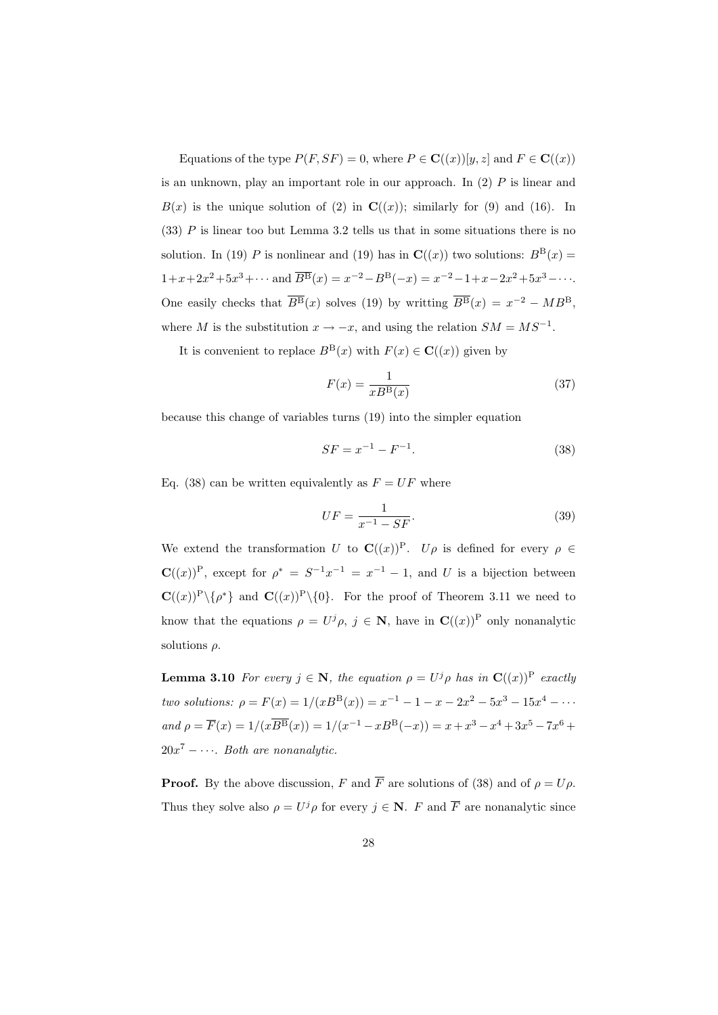Equations of the type  $P(F, SF) = 0$ , where  $P \in \mathbf{C}((x))[y, z]$  and  $F \in \mathbf{C}((x))$ is an unknown, play an important role in our approach. In  $(2)$  P is linear and  $B(x)$  is the unique solution of (2) in  $\mathbf{C}((x))$ ; similarly for (9) and (16). In  $(33)$  P is linear too but Lemma 3.2 tells us that in some situations there is no solution. In (19) P is nonlinear and (19) has in  $\mathbf{C}((x))$  two solutions:  $B^{\text{B}}(x) =$  $1+x+2x^2+5x^3+\cdots$  and  $\overline{B}^{\text{B}}(x) = x^{-2}-B^{\text{B}}(-x) = x^{-2}-1+x-2x^2+5x^3-\cdots$ . One easily checks that  $\overline{B}{}^{B}(x)$  solves (19) by writting  $\overline{B}{}^{B}(x) = x^{-2} - MB^{B}$ , where M is the substitution  $x \to -x$ , and using the relation  $SM = MS^{-1}$ .

It is convenient to replace  $B^{B}(x)$  with  $F(x) \in \mathbf{C}((x))$  given by

$$
F(x) = \frac{1}{xB^{\mathcal{B}}(x)}\tag{37}
$$

because this change of variables turns (19) into the simpler equation

$$
SF = x^{-1} - F^{-1}.
$$
\n(38)

Eq. (38) can be written equivalently as  $F = UF$  where

$$
UF = \frac{1}{x^{-1} - SF}.\tag{39}
$$

We extend the transformation U to  $\mathbf{C}((x))^P$ . Up is defined for every  $\rho \in \mathbb{C}$  $\mathbf{C}((x))^{\mathrm{P}}$ , except for  $\rho^* = S^{-1}x^{-1} = x^{-1} - 1$ , and U is a bijection between  $\mathbf{C}((x))^P \setminus \{\rho^*\}\$ and  $\mathbf{C}((x))^P \setminus \{0\}$ . For the proof of Theorem 3.11 we need to know that the equations  $\rho = U^j \rho, j \in \mathbb{N}$ , have in  $\mathbf{C}((x))^P$  only nonanalytic solutions  $\rho$ .

**Lemma 3.10** For every  $j \in \mathbb{N}$ , the equation  $\rho = U^j \rho$  has in  $\mathbf{C}((x))^P$  exactly two solutions:  $\rho = F(x) = 1/(xB^B(x)) = x^{-1} - 1 - x - 2x^2 - 5x^3 - 15x^4 - \cdots$ and  $\rho = \overline{F}(x) = 1/(x\overline{B^B}(x)) = 1/(x^{-1} - xB^B(-x)) = x + x^3 - x^4 + 3x^5 - 7x^6 +$  $20x^7 - \cdots$ . Both are nonanalytic.

**Proof.** By the above discussion, F and  $\overline{F}$  are solutions of (38) and of  $\rho = U\rho$ . Thus they solve also  $\rho = U^j \rho$  for every  $j \in \mathbb{N}$ . F and  $\overline{F}$  are nonanalytic since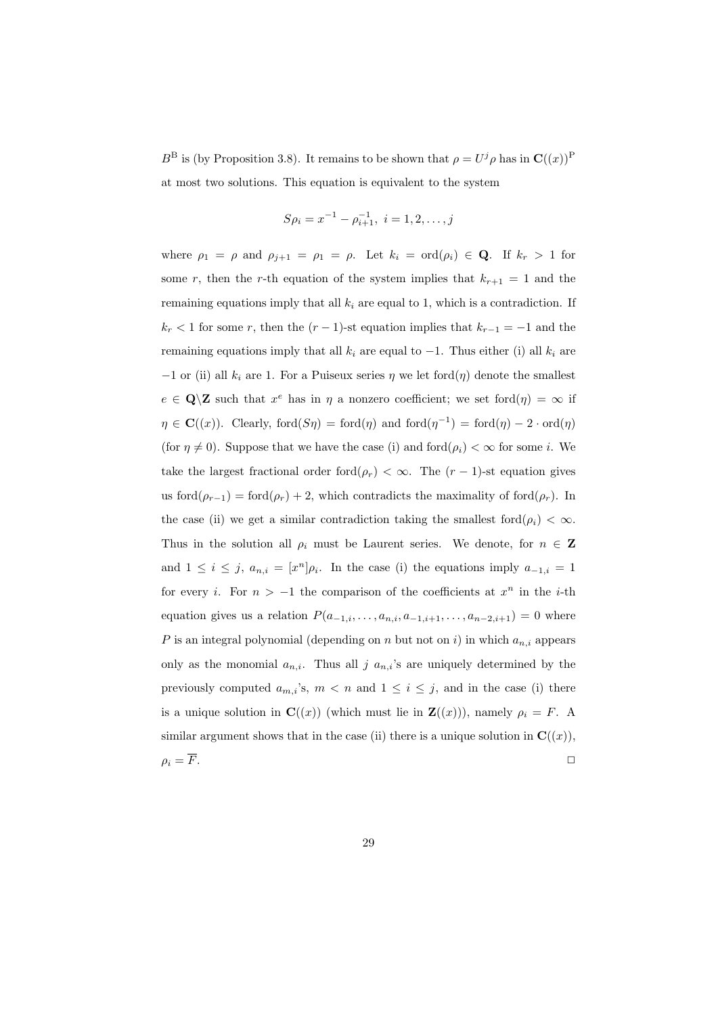$B^{\text{B}}$  is (by Proposition 3.8). It remains to be shown that  $\rho = U^j \rho$  has in  $\mathbf{C}((x))^{\text{P}}$ at most two solutions. This equation is equivalent to the system

$$
S\rho_i = x^{-1} - \rho_{i+1}^{-1}, \ i = 1, 2, \dots, j
$$

where  $\rho_1 = \rho$  and  $\rho_{j+1} = \rho_1 = \rho$ . Let  $k_i = \text{ord}(\rho_i) \in \mathbf{Q}$ . If  $k_r > 1$  for some r, then the r-th equation of the system implies that  $k_{r+1} = 1$  and the remaining equations imply that all  $k_i$  are equal to 1, which is a contradiction. If  $k_r$  < 1 for some r, then the  $(r-1)$ -st equation implies that  $k_{r-1} = -1$  and the remaining equations imply that all  $k_i$  are equal to  $-1$ . Thus either (i) all  $k_i$  are  $-1$  or (ii) all  $k_i$  are 1. For a Puiseux series  $\eta$  we let ford $(\eta)$  denote the smallest  $e \in \mathbf{Q} \setminus \mathbf{Z}$  such that  $x^e$  has in  $\eta$  a nonzero coefficient; we set ford $(\eta) = \infty$  if  $\eta \in \mathbf{C}((x))$ . Clearly, ford $(S\eta) = \text{ford}(\eta)$  and  $\text{ford}(\eta^{-1}) = \text{ford}(\eta) - 2 \cdot \text{ord}(\eta)$ (for  $\eta \neq 0$ ). Suppose that we have the case (i) and ford $(\rho_i) < \infty$  for some i. We take the largest fractional order ford $(\rho_r) < \infty$ . The  $(r-1)$ -st equation gives us ford $(\rho_{r-1}) = \text{ford}(\rho_r) + 2$ , which contradicts the maximality of ford $(\rho_r)$ . In the case (ii) we get a similar contradiction taking the smallest  $\text{ford}(\rho_i) < \infty$ . Thus in the solution all  $\rho_i$  must be Laurent series. We denote, for  $n \in \mathbb{Z}$ and  $1 \leq i \leq j$ ,  $a_{n,i} = [x^n] \rho_i$ . In the case (i) the equations imply  $a_{-1,i} = 1$ for every *i*. For  $n > -1$  the comparison of the coefficients at  $x^n$  in the *i*-th equation gives us a relation  $P(a_{-1,i},..., a_{n,i}, a_{-1,i+1},..., a_{n-2,i+1}) = 0$  where P is an integral polynomial (depending on n but not on i) in which  $a_{n,i}$  appears only as the monomial  $a_{n,i}$ . Thus all j  $a_{n,i}$ 's are uniquely determined by the previously computed  $a_{m,i}$ 's,  $m < n$  and  $1 \leq i \leq j$ , and in the case (i) there is a unique solution in  $\mathbf{C}((x))$  (which must lie in  $\mathbf{Z}((x))$ ), namely  $\rho_i = F$ . A similar argument shows that in the case (ii) there is a unique solution in  $\mathbf{C}((x))$ ,  $\rho_i = F.$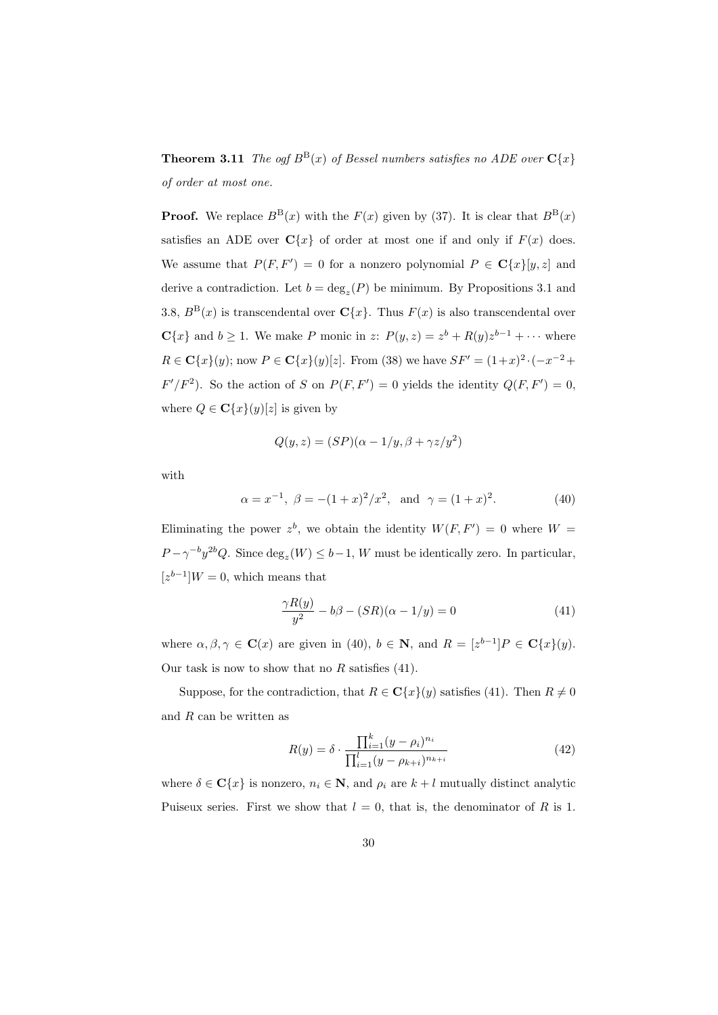**Theorem 3.11** The ogf  $B^B(x)$  of Bessel numbers satisfies no ADE over  $C\{x\}$ of order at most one.

**Proof.** We replace  $B^{B}(x)$  with the  $F(x)$  given by (37). It is clear that  $B^{B}(x)$ satisfies an ADE over  $C\{x\}$  of order at most one if and only if  $F(x)$  does. We assume that  $P(F, F') = 0$  for a nonzero polynomial  $P \in \mathbb{C}\lbrace x \rbrace [y, z]$  and derive a contradiction. Let  $b = \deg_z(P)$  be minimum. By Propositions 3.1 and 3.8,  $B^{B}(x)$  is transcendental over  $C{x}$ . Thus  $F(x)$  is also transcendental over  $\mathbf{C}{x}$  and  $b \ge 1$ . We make P monic in z:  $P(y, z) = z^{b} + R(y)z^{b-1} + \cdots$  where  $R \in \mathbf{C}\{x\}(y)$ ; now  $P \in \mathbf{C}\{x\}(y)[z]$ . From (38) we have  $SF' = (1+x)^2 \cdot (-x^{-2} +$  $F'/F^2$ ). So the action of S on  $P(F, F') = 0$  yields the identity  $Q(F, F') = 0$ , where  $Q \in \mathbf{C}\{x\}(y)[z]$  is given by

$$
Q(y, z) = (SP)(\alpha - 1/y, \beta + \gamma z/y^2)
$$

with

$$
\alpha = x^{-1}, \ \beta = -(1+x)^2/x^2, \text{ and } \gamma = (1+x)^2.
$$
 (40)

Eliminating the power  $z^b$ , we obtain the identity  $W(F, F') = 0$  where  $W =$  $P - \gamma^{-b} y^{2b} Q$ . Since  $\deg_z(W) \leq b-1$ , W must be identically zero. In particular,  $[z^{b-1}]W=0$ , which means that

$$
\frac{\gamma R(y)}{y^2} - b\beta - (SR)(\alpha - 1/y) = 0\tag{41}
$$

where  $\alpha, \beta, \gamma \in \mathbf{C}(x)$  are given in (40),  $b \in \mathbf{N}$ , and  $R = [z^{b-1}]P \in \mathbf{C}\lbrace x \rbrace(y)$ . Our task is now to show that no  $R$  satisfies (41).

Suppose, for the contradiction, that  $R \in \mathbb{C}\lbrace x \rbrace(y)$  satisfies (41). Then  $R \neq 0$ and  $R$  can be written as

$$
R(y) = \delta \cdot \frac{\prod_{i=1}^{k} (y - \rho_i)^{n_i}}{\prod_{i=1}^{l} (y - \rho_{k+i})^{n_{k+i}}}
$$
(42)

where  $\delta \in \mathbf{C}\{x\}$  is nonzero,  $n_i \in \mathbf{N}$ , and  $\rho_i$  are  $k+l$  mutually distinct analytic Puiseux series. First we show that  $l = 0$ , that is, the denominator of R is 1.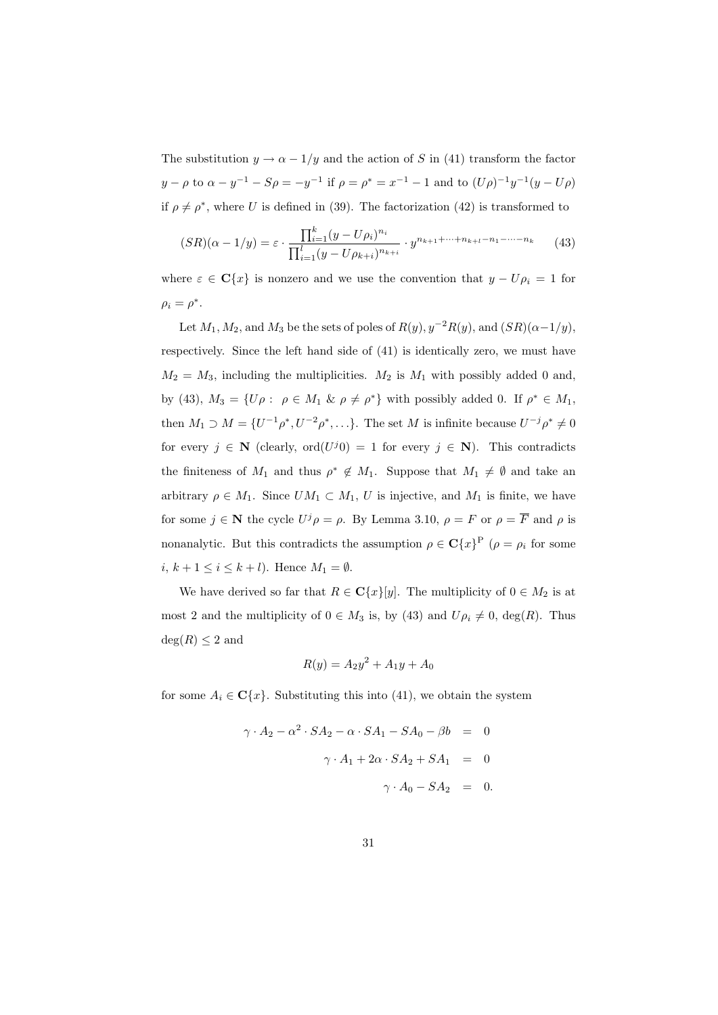The substitution  $y \to \alpha - 1/y$  and the action of S in (41) transform the factor  $y - \rho$  to  $\alpha - y^{-1} - S\rho = -y^{-1}$  if  $\rho = \rho^* = x^{-1} - 1$  and to  $(U\rho)^{-1}y^{-1}(y - U\rho)$ if  $\rho \neq \rho^*$ , where U is defined in (39). The factorization (42) is transformed to

$$
(SR)(\alpha - 1/y) = \varepsilon \cdot \frac{\prod_{i=1}^{k} (y - U\rho_i)^{n_i}}{\prod_{i=1}^{l} (y - U\rho_{k+i})^{n_{k+i}}} \cdot y^{n_{k+1} + \dots + n_{k+l} - n_1 - \dots - n_k} \tag{43}
$$

where  $\varepsilon \in \mathbb{C}\{x\}$  is nonzero and we use the convention that  $y - U\rho_i = 1$  for  $\rho_i = \rho^*$ .

Let  $M_1, M_2$ , and  $M_3$  be the sets of poles of  $R(y), y^{-2}R(y)$ , and  $(SR)(\alpha-1/y)$ , respectively. Since the left hand side of (41) is identically zero, we must have  $M_2 = M_3$ , including the multiplicities.  $M_2$  is  $M_1$  with possibly added 0 and. by (43),  $M_3 = \{U\rho : \rho \in M_1 \& \rho \neq \rho^*\}\$  with possibly added 0. If  $\rho^* \in M_1$ , then  $M_1 \supset M = \{U^{-1}\rho^*, U^{-2}\rho^*, \ldots\}.$  The set M is infinite because  $U^{-j}\rho^* \neq 0$ for every  $j \in \mathbb{N}$  (clearly, ord $(U^{j}0) = 1$  for every  $j \in \mathbb{N}$ ). This contradicts the finiteness of  $M_1$  and thus  $\rho^* \notin M_1$ . Suppose that  $M_1 \neq \emptyset$  and take an arbitrary  $\rho \in M_1$ . Since  $UM_1 \subset M_1$ , U is injective, and  $M_1$  is finite, we have for some  $j \in \mathbb{N}$  the cycle  $U^j \rho = \rho$ . By Lemma 3.10,  $\rho = F$  or  $\rho = \overline{F}$  and  $\rho$  is nonanalytic. But this contradicts the assumption  $\rho \in \mathbf{C}\{x\}^{\mathbf{P}}$  ( $\rho = \rho_i$  for some i,  $k + 1 \leq i \leq k + l$ . Hence  $M_1 = \emptyset$ .

We have derived so far that  $R \in \mathbb{C}\lbrace x \rbrace [y]$ . The multiplicity of  $0 \in M_2$  is at most 2 and the multiplicity of  $0 \in M_3$  is, by (43) and  $U \rho_i \neq 0$ , deg(R). Thus  $deg(R) < 2$  and

$$
R(y) = A_2 y^2 + A_1 y + A_0
$$

for some  $A_i \in \mathbb{C}\lbrace x \rbrace$ . Substituting this into (41), we obtain the system

$$
\gamma \cdot A_2 - \alpha^2 \cdot SA_2 - \alpha \cdot SA_1 - SA_0 - \beta b = 0
$$
  

$$
\gamma \cdot A_1 + 2\alpha \cdot SA_2 + SA_1 = 0
$$
  

$$
\gamma \cdot A_0 - SA_2 = 0
$$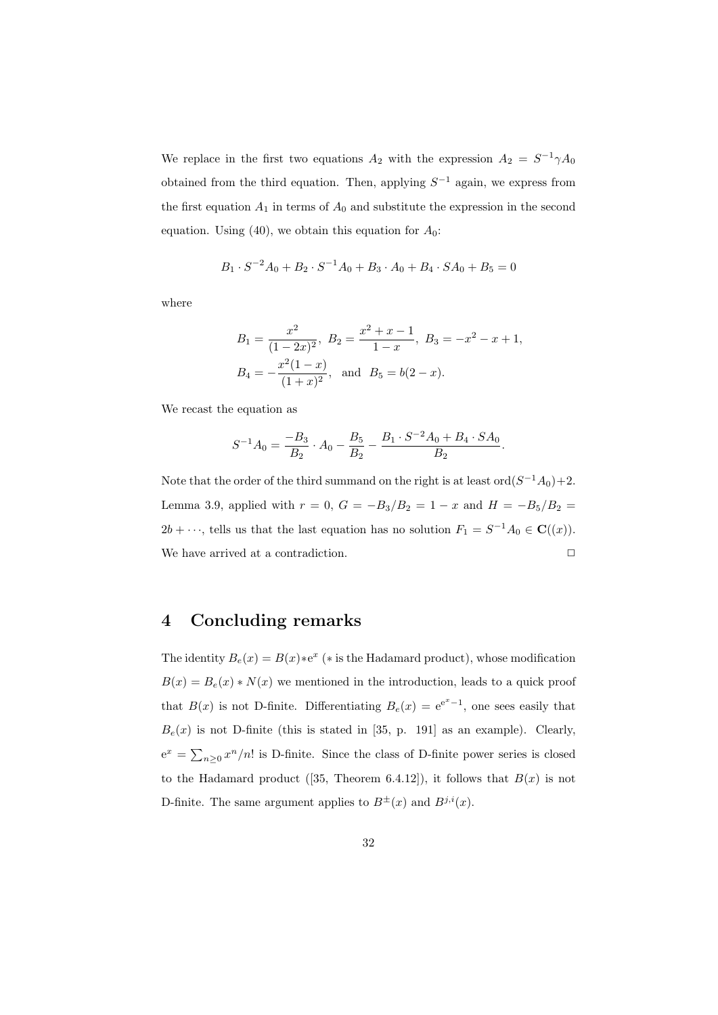We replace in the first two equations  $A_2$  with the expression  $A_2 = S^{-1} \gamma A_0$ obtained from the third equation. Then, applying  $S^{-1}$  again, we express from the first equation  $A_1$  in terms of  $A_0$  and substitute the expression in the second equation. Using (40), we obtain this equation for  $A_0$ :

$$
B_1 \cdot S^{-2}A_0 + B_2 \cdot S^{-1}A_0 + B_3 \cdot A_0 + B_4 \cdot SA_0 + B_5 = 0
$$

where

$$
B_1 = \frac{x^2}{(1 - 2x)^2}, B_2 = \frac{x^2 + x - 1}{1 - x}, B_3 = -x^2 - x + 1,
$$
  

$$
B_4 = -\frac{x^2(1 - x)}{(1 + x)^2}, \text{ and } B_5 = b(2 - x).
$$

We recast the equation as

$$
S^{-1}A_0 = \frac{-B_3}{B_2} \cdot A_0 - \frac{B_5}{B_2} - \frac{B_1 \cdot S^{-2}A_0 + B_4 \cdot SA_0}{B_2}.
$$

Note that the order of the third summand on the right is at least  $\text{ord}(S^{-1}A_0)+2$ . Lemma 3.9, applied with  $r = 0$ ,  $G = -B_3/B_2 = 1 - x$  and  $H = -B_5/B_2 = 1 - x$  $2b + \cdots$ , tells us that the last equation has no solution  $F_1 = S^{-1}A_0 \in \mathbf{C}((x))$ . We have arrived at a contradiction.  $\Box$ 

## 4 Concluding remarks

The identity  $B_e(x) = B(x) * e^x$  (\* is the Hadamard product), whose modification  $B(x) = B<sub>e</sub>(x) * N(x)$  we mentioned in the introduction, leads to a quick proof that  $B(x)$  is not D-finite. Differentiating  $B_e(x) = e^{e^x - 1}$ , one sees easily that  $B_e(x)$  is not D-finite (this is stated in [35, p. 191] as an example). Clearly,  $e^x = \sum_{n\geq 0} x^n/n!$  is D-finite. Since the class of D-finite power series is closed to the Hadamard product ([35, Theorem 6.4.12]), it follows that  $B(x)$  is not D-finite. The same argument applies to  $B^{\pm}(x)$  and  $B^{j,i}(x)$ .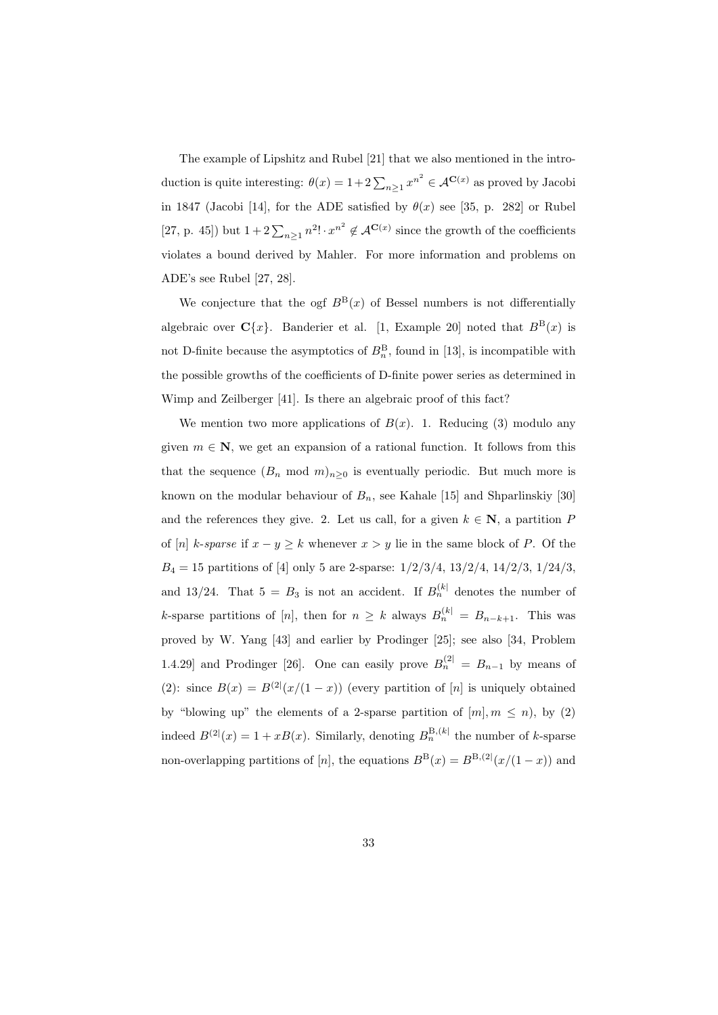The example of Lipshitz and Rubel [21] that we also mentioned in the introduction is quite interesting:  $\theta(x) = 1 + 2 \sum_{n \geq 1} x^{n^2} \in \mathcal{A}^{\mathbf{C}(x)}$  as proved by Jacobi in 1847 (Jacobi [14], for the ADE satisfied by  $\theta(x)$  see [35, p. 282] or Rubel [27, p. 45]) but  $1+2\sum_{n\geq 1}n^2! \cdot x^{n^2} \notin \mathcal{A}^{\mathbf{C}(x)}$  since the growth of the coefficients violates a bound derived by Mahler. For more information and problems on ADE's see Rubel [27, 28].

We conjecture that the ogf  $B^{\text{B}}(x)$  of Bessel numbers is not differentially algebraic over  $C\{x\}$ . Banderier et al. [1, Example 20] noted that  $B^B(x)$  is not D-finite because the asymptotics of  $B_n^B$ , found in [13], is incompatible with the possible growths of the coefficients of D-finite power series as determined in Wimp and Zeilberger [41]. Is there an algebraic proof of this fact?

We mention two more applications of  $B(x)$ . 1. Reducing (3) modulo any given  $m \in \mathbb{N}$ , we get an expansion of a rational function. It follows from this that the sequence  $(B_n \mod m)_{n>0}$  is eventually periodic. But much more is known on the modular behaviour of  $B_n$ , see Kahale [15] and Shparlinskiy [30] and the references they give. 2. Let us call, for a given  $k \in \mathbb{N}$ , a partition P of [n] k-sparse if  $x - y \ge k$  whenever  $x > y$  lie in the same block of P. Of the  $B_4 = 15$  partitions of [4] only 5 are 2-sparse:  $1/2/3/4$ ,  $13/2/4$ ,  $14/2/3$ ,  $1/24/3$ , and 13/24. That  $5 = B_3$  is not an accident. If  $B_n^{(k)}$  denotes the number of k-sparse partitions of [n], then for  $n \geq k$  always  $B_n^{(k)} = B_{n-k+1}$ . This was proved by W. Yang [43] and earlier by Prodinger [25]; see also [34, Problem 1.4.29] and Prodinger [26]. One can easily prove  $B_n^{(2)} = B_{n-1}$  by means of (2): since  $B(x) = B^{(2)}(x/(1-x))$  (every partition of [n] is uniquely obtained by "blowing up" the elements of a 2-sparse partition of  $[m], m \leq n$ , by (2) indeed  $B^{(2)}(x) = 1 + xB(x)$ . Similarly, denoting  $B_n^{\text{B},(k)}$  the number of k-sparse non-overlapping partitions of [n], the equations  $B^{B}(x) = B^{B,(2)}(x/(1-x))$  and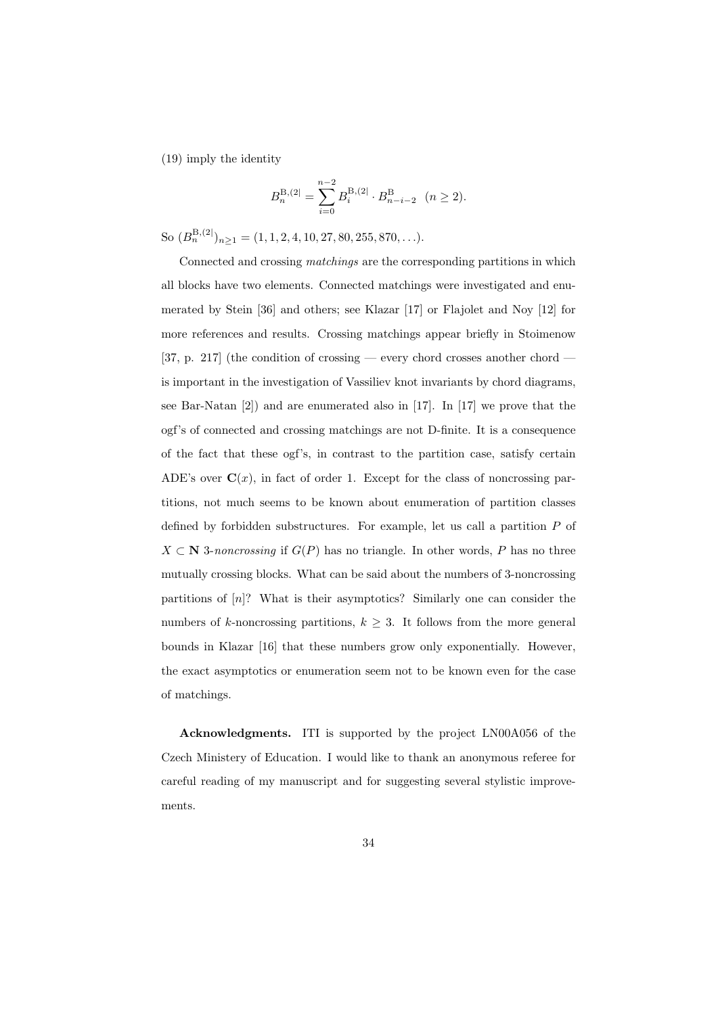(19) imply the identity

$$
B_n^{\mathcal{B},(2]} = \sum_{i=0}^{n-2} B_i^{\mathcal{B},(2]} \cdot B_{n-i-2}^{\mathcal{B}} \quad (n \ge 2).
$$

So  $(B_n^{B,(2)})_{n\geq 1} = (1, 1, 2, 4, 10, 27, 80, 255, 870, \ldots).$ 

Connected and crossing matchings are the corresponding partitions in which all blocks have two elements. Connected matchings were investigated and enumerated by Stein [36] and others; see Klazar [17] or Flajolet and Noy [12] for more references and results. Crossing matchings appear briefly in Stoimenow [37, p. 217] (the condition of crossing — every chord crosses another chord is important in the investigation of Vassiliev knot invariants by chord diagrams, see Bar-Natan [2]) and are enumerated also in [17]. In [17] we prove that the ogf's of connected and crossing matchings are not D-finite. It is a consequence of the fact that these ogf's, in contrast to the partition case, satisfy certain ADE's over  $\mathbf{C}(x)$ , in fact of order 1. Except for the class of noncrossing partitions, not much seems to be known about enumeration of partition classes defined by forbidden substructures. For example, let us call a partition  $P$  of  $X \subset \mathbb{N}$  3-noncrossing if  $G(P)$  has no triangle. In other words, P has no three mutually crossing blocks. What can be said about the numbers of 3-noncrossing partitions of  $[n]$ ? What is their asymptotics? Similarly one can consider the numbers of k-noncrossing partitions,  $k \geq 3$ . It follows from the more general bounds in Klazar [16] that these numbers grow only exponentially. However, the exact asymptotics or enumeration seem not to be known even for the case of matchings.

Acknowledgments. ITI is supported by the project LN00A056 of the Czech Ministery of Education. I would like to thank an anonymous referee for careful reading of my manuscript and for suggesting several stylistic improvements.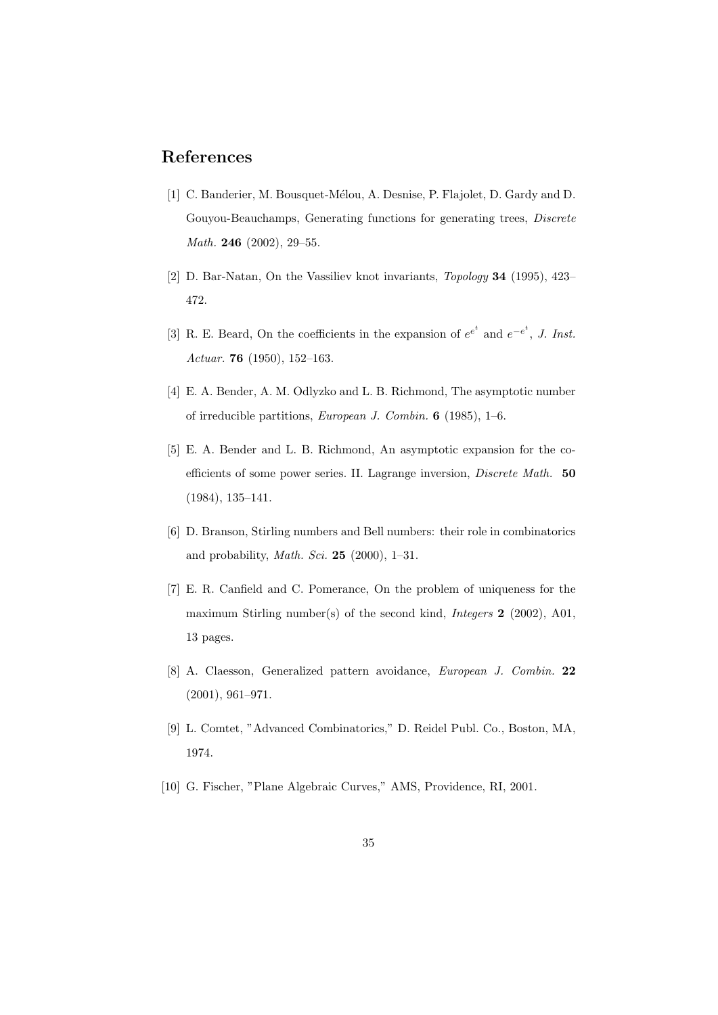# References

- [1] C. Banderier, M. Bousquet-Mélou, A. Desnise, P. Flajolet, D. Gardy and D. Gouyou-Beauchamps, Generating functions for generating trees, Discrete Math. 246 (2002), 29-55.
- [2] D. Bar-Natan, On the Vassiliev knot invariants, Topology 34 (1995), 423– 472.
- [3] R. E. Beard, On the coefficients in the expansion of  $e^{e^t}$  and  $e^{-e^t}$ , J. Inst. Actuar. 76 (1950), 152–163.
- [4] E. A. Bender, A. M. Odlyzko and L. B. Richmond, The asymptotic number of irreducible partitions, European J. Combin. 6 (1985), 1–6.
- [5] E. A. Bender and L. B. Richmond, An asymptotic expansion for the coefficients of some power series. II. Lagrange inversion, Discrete Math. 50 (1984), 135–141.
- [6] D. Branson, Stirling numbers and Bell numbers: their role in combinatorics and probability, *Math. Sci.* **25** (2000), 1-31.
- [7] E. R. Canfield and C. Pomerance, On the problem of uniqueness for the maximum Stirling number(s) of the second kind, *Integers* 2 (2002), A01, 13 pages.
- [8] A. Claesson, Generalized pattern avoidance, European J. Combin. 22 (2001), 961–971.
- [9] L. Comtet, "Advanced Combinatorics," D. Reidel Publ. Co., Boston, MA, 1974.
- [10] G. Fischer, "Plane Algebraic Curves," AMS, Providence, RI, 2001.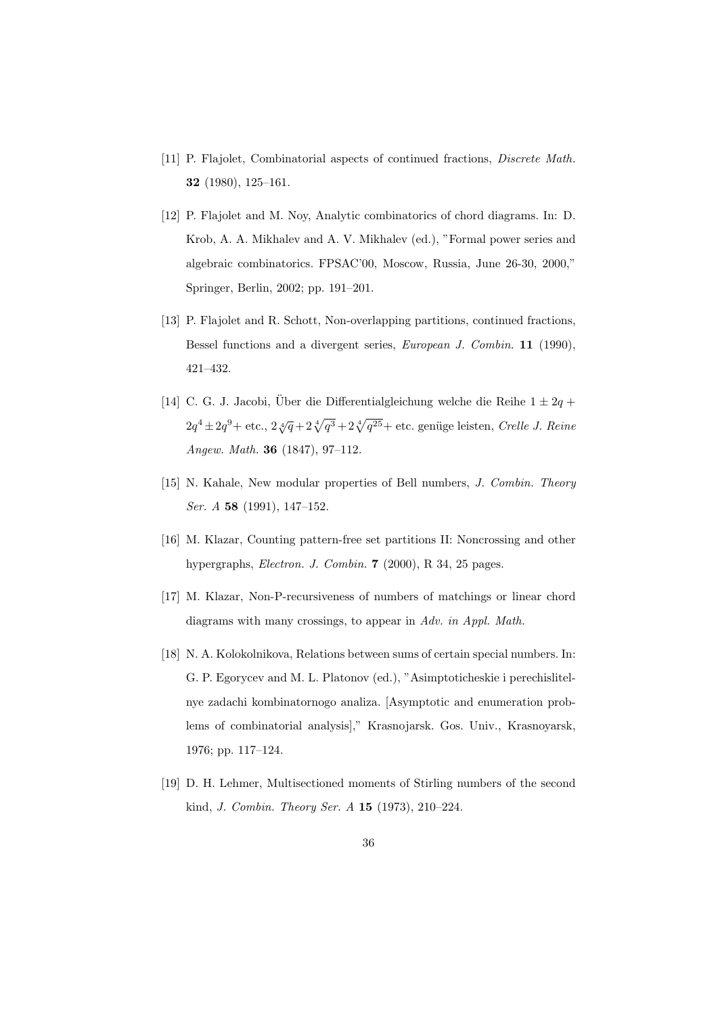- [11] P. Flajolet, Combinatorial aspects of continued fractions, Discrete Math. 32 (1980), 125–161.
- [12] P. Flajolet and M. Noy, Analytic combinatorics of chord diagrams. In: D. Krob, A. A. Mikhalev and A. V. Mikhalev (ed.), "Formal power series and algebraic combinatorics. FPSAC'00, Moscow, Russia, June 26-30, 2000," Springer, Berlin, 2002; pp. 191–201.
- [13] P. Flajolet and R. Schott, Non-overlapping partitions, continued fractions, Bessel functions and a divergent series, European J. Combin. 11 (1990), 421–432.
- [14] C. G. J. Jacobi, Über die Differentialgleichung welche die Reihe  $1 \pm 2q +$  $2q^4 \pm 2q^9$  + etc.,  $2\sqrt[4]{q} + 2\sqrt[4]{q^3} + 2\sqrt[4]{q^{25}}$  + etc. genüge leisten, *Crelle J. Reine* Angew. Math. 36 (1847), 97–112.
- [15] N. Kahale, New modular properties of Bell numbers, J. Combin. Theory Ser. A 58 (1991), 147–152.
- [16] M. Klazar, Counting pattern-free set partitions II: Noncrossing and other hypergraphs, Electron. J. Combin. 7 (2000), R 34, 25 pages.
- [17] M. Klazar, Non-P-recursiveness of numbers of matchings or linear chord diagrams with many crossings, to appear in Adv. in Appl. Math.
- [18] N. A. Kolokolnikova, Relations between sums of certain special numbers. In: G. P. Egorycev and M. L. Platonov (ed.), "Asimptoticheskie i perechislitelnye zadachi kombinatornogo analiza. [Asymptotic and enumeration problems of combinatorial analysis]," Krasnojarsk. Gos. Univ., Krasnoyarsk, 1976; pp. 117–124.
- [19] D. H. Lehmer, Multisectioned moments of Stirling numbers of the second kind, J. Combin. Theory Ser. A 15 (1973), 210–224.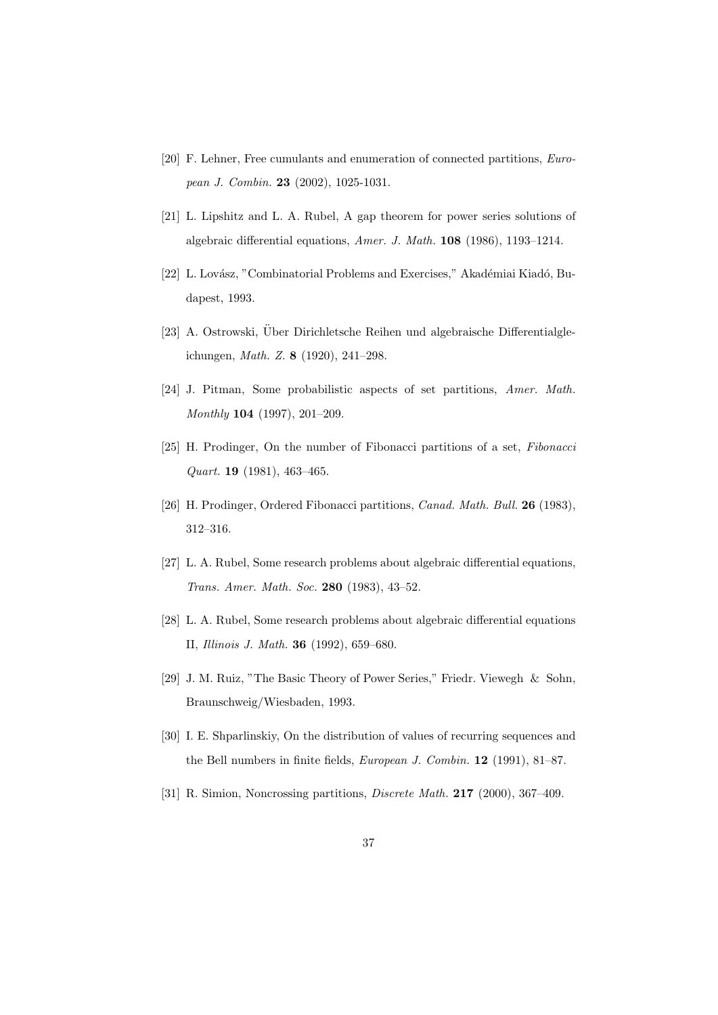- [20] F. Lehner, Free cumulants and enumeration of connected partitions, European J. Combin. 23 (2002), 1025-1031.
- [21] L. Lipshitz and L. A. Rubel, A gap theorem for power series solutions of algebraic differential equations, Amer. J. Math. 108 (1986), 1193–1214.
- [22] L. Lovász, "Combinatorial Problems and Exercises," Akadémiai Kiadó, Budapest, 1993.
- [23] A. Ostrowski, Über Dirichletsche Reihen und algebraische Differentialgleichungen, Math. Z. 8 (1920), 241–298.
- [24] J. Pitman, Some probabilistic aspects of set partitions, Amer. Math. Monthly 104 (1997), 201–209.
- [25] H. Prodinger, On the number of Fibonacci partitions of a set, Fibonacci Quart. 19 (1981), 463–465.
- [26] H. Prodinger, Ordered Fibonacci partitions, Canad. Math. Bull. 26 (1983), 312–316.
- [27] L. A. Rubel, Some research problems about algebraic differential equations, Trans. Amer. Math. Soc. 280 (1983), 43–52.
- [28] L. A. Rubel, Some research problems about algebraic differential equations II, Illinois J. Math. 36 (1992), 659–680.
- [29] J. M. Ruiz, "The Basic Theory of Power Series," Friedr. Viewegh & Sohn, Braunschweig/Wiesbaden, 1993.
- [30] I. E. Shparlinskiy, On the distribution of values of recurring sequences and the Bell numbers in finite fields, European J. Combin. 12 (1991), 81–87.
- [31] R. Simion, Noncrossing partitions, *Discrete Math.* **217** (2000), 367–409.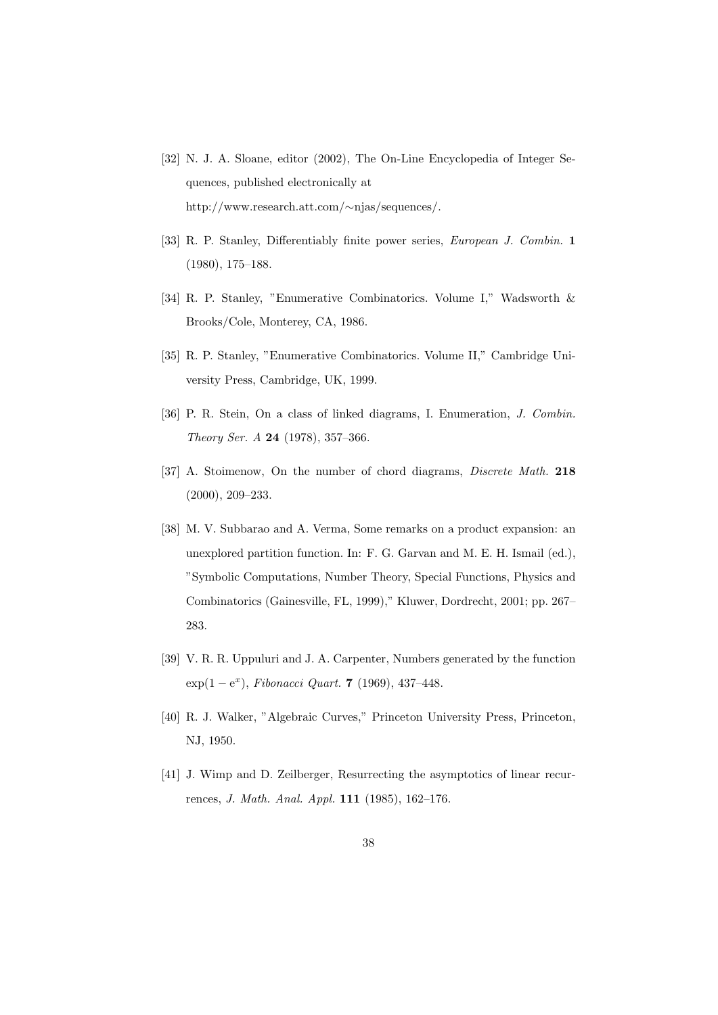- [32] N. J. A. Sloane, editor (2002), The On-Line Encyclopedia of Integer Sequences, published electronically at http://www.research.att.com/∼njas/sequences/.
- [33] R. P. Stanley, Differentiably finite power series, European J. Combin. 1 (1980), 175–188.
- [34] R. P. Stanley, "Enumerative Combinatorics. Volume I," Wadsworth & Brooks/Cole, Monterey, CA, 1986.
- [35] R. P. Stanley, "Enumerative Combinatorics. Volume II," Cambridge University Press, Cambridge, UK, 1999.
- [36] P. R. Stein, On a class of linked diagrams, I. Enumeration, J. Combin. Theory Ser. A 24 (1978), 357–366.
- [37] A. Stoimenow, On the number of chord diagrams, *Discrete Math.* 218 (2000), 209–233.
- [38] M. V. Subbarao and A. Verma, Some remarks on a product expansion: an unexplored partition function. In: F. G. Garvan and M. E. H. Ismail (ed.), "Symbolic Computations, Number Theory, Special Functions, Physics and Combinatorics (Gainesville, FL, 1999)," Kluwer, Dordrecht, 2001; pp. 267– 283.
- [39] V. R. R. Uppuluri and J. A. Carpenter, Numbers generated by the function  $exp(1-e^x)$ , Fibonacci Quart. 7 (1969), 437-448.
- [40] R. J. Walker, "Algebraic Curves," Princeton University Press, Princeton, NJ, 1950.
- [41] J. Wimp and D. Zeilberger, Resurrecting the asymptotics of linear recurrences, J. Math. Anal. Appl. 111 (1985), 162–176.